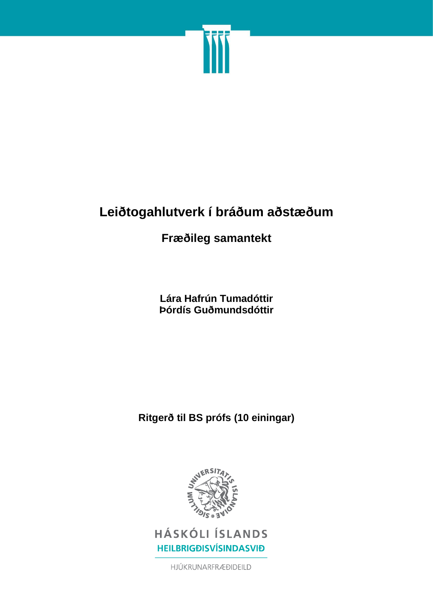

# **Leiðtogahlutverk í bráðum aðstæðum**

## **Fræðileg samantekt**

**Lára Hafrún Tumadóttir Þórdís Guðmundsdóttir**

**Ritgerð til BS prófs (10 einingar)**



**HÁSKÓLI ÍSLANDS HEILBRIGÐISVÍSINDASVIÐ** 

HJÚKRUNARFRÆÐIDEILD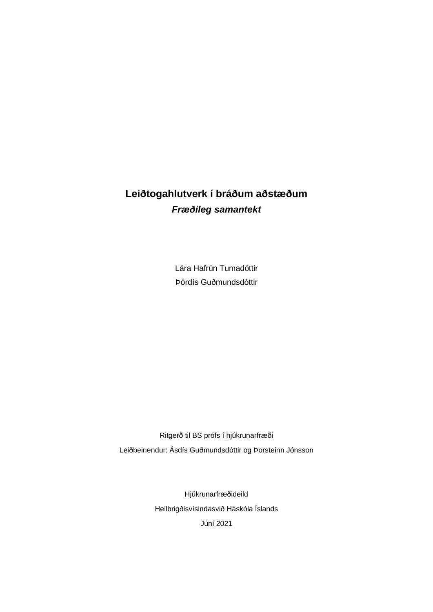## **Leiðtogahlutverk í bráðum aðstæðum** *Fræðileg samantekt*

Lára Hafrún Tumadóttir Þórdís Guðmundsdóttir

Ritgerð til BS prófs í hjúkrunarfræði Leiðbeinendur: Ásdís Guðmundsdóttir og Þorsteinn Jónsson

> Hjúkrunarfræðideild Heilbrigðisvísindasvið Háskóla Íslands Júní 2021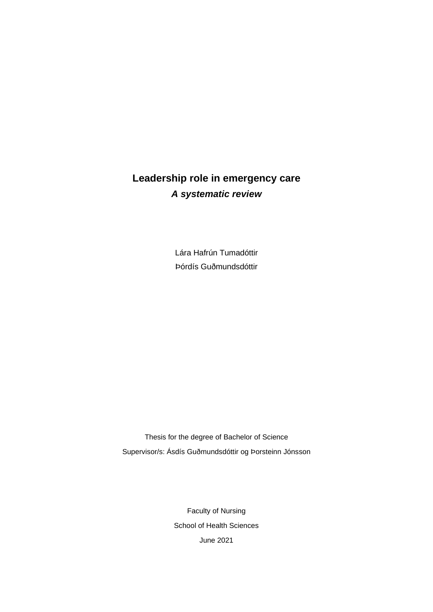## **Leadership role in emergency care** *A systematic review*

Lára Hafrún Tumadóttir Þórdís Guðmundsdóttir

Thesis for the degree of Bachelor of Science Supervisor/s: Ásdís Guðmundsdóttir og Þorsteinn Jónsson

> Faculty of Nursing School of Health Sciences June 2021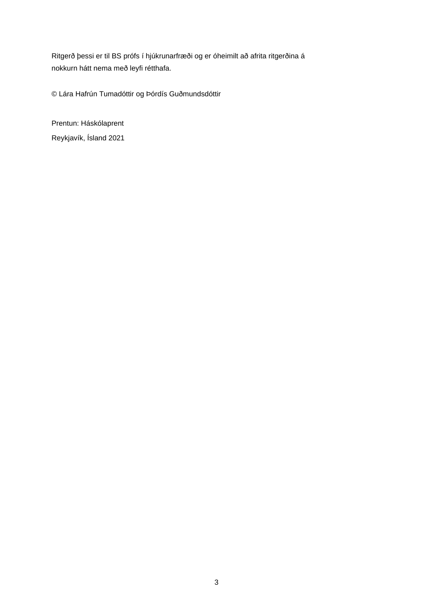Ritgerð þessi er til BS prófs í hjúkrunarfræði og er óheimilt að afrita ritgerðina á nokkurn hátt nema með leyfi rétthafa.

© Lára Hafrún Tumadóttir og Þórdís Guðmundsdóttir

Prentun: Háskólaprent Reykjavík, Ísland 2021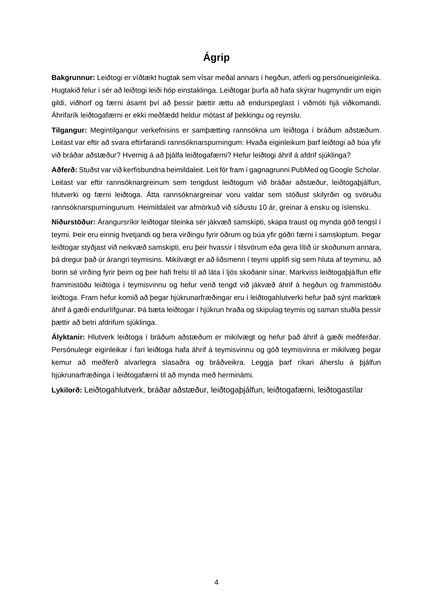## **Ágrip**

<span id="page-4-0"></span>**Bakgrunnur:** Leiðtogi er víðtækt hugtak sem vísar meðal annars í hegðun, atferli og persónueiginleika. Hugtakið felur í sér að leiðtogi leiði hóp einstaklinga. Leiðtogar þurfa að hafa skýrar hugmyndir um eigin gildi, viðhorf og færni ásamt því að þessir þættir ættu að endurspeglast í viðmóti hjá viðkomandi. Áhrifarík leiðtogafærni er ekki meðfædd heldur mótast af þekkingu og reynslu.

**Tilgangur:** Megintilgangur verkefnisins er samþætting rannsókna um leiðtoga í bráðum aðstæðum. Leitast var eftir að svara eftirfarandi rannsóknarspurningum: Hvaða eiginleikum þarf leiðtogi að búa yfir við bráðar aðstæður? Hvernig á að þjálfa leiðtogafærni? Hefur leiðtogi áhrif á afdrif sjúklinga?

**Aðferð:** Stuðst var við kerfisbundna heimildaleit. Leit fór fram í gagnagrunni PubMed og Google Scholar. Leitast var eftir rannsóknargreinum sem tengdust leiðtogum við bráðar aðstæður, leiðtogaþjálfun, hlutverki og færni leiðtoga. Átta rannsóknargreinar voru valdar sem stóðust skilyrðin og svöruðu rannsóknarspurningunum. Heimildaleit var afmörkuð við síðustu 10 ár, greinar á ensku og íslensku.

**Niðurstöður:** Árangursríkir leiðtogar tileinka sér jákvæð samskipti, skapa traust og mynda góð tengsl í teymi. Þeir eru einnig hvetjandi og bera virðingu fyrir öðrum og búa yfir góðri færni í samskiptum. Þegar leiðtogar styðjast við neikvæð samskipti, eru þeir hvassir í tilsvörum eða gera lítið úr skoðunum annara, þá dregur það úr árangri teymisins. Mikilvægt er að liðsmenn í teymi upplifi sig sem hluta af teyminu, að borin sé virðing fyrir þeim og þeir hafi frelsi til að láta í ljós skoðanir sínar. Markviss leiðtogaþjálfun eflir frammistöðu leiðtoga í teymisvinnu og hefur verið tengd við jákvæð áhrif á hegðun og frammistöðu leiðtoga. Fram hefur komið að þegar hjúkrunarfræðingar eru í leiðtogahlutverki hefur það sýnt marktæk áhrif á gæði endurlífgunar. Þá bæta leiðtogar í hjúkrun hraða og skipulag teymis og saman stuðla þessir þættir að betri afdrifum sjúklinga.

**Ályktanir:** Hlutverk leiðtoga í bráðum aðstæðum er mikilvægt og hefur það áhrif á gæði meðferðar. Persónulegir eiginleikar í fari leiðtoga hafa áhrif á teymisvinnu og góð teymisvinna er mikilvæg þegar kemur að meðferð alvarlegra slasaðra og bráðveikra. Leggja þarf ríkari áherslu á þjálfun hjúkrunarfræðinga í leiðtogafærni til að mynda með herminámi.

**Lykilorð:** Leiðtogahlutverk, bráðar aðstæður, leiðtogaþjálfun, leiðtogafærni, leiðtogastílar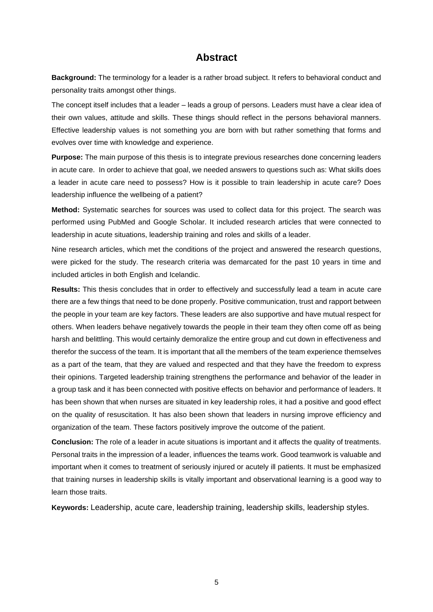## **Abstract**

<span id="page-5-0"></span>**Background:** The terminology for a leader is a rather broad subject. It refers to behavioral conduct and personality traits amongst other things.

The concept itself includes that a leader – leads a group of persons. Leaders must have a clear idea of their own values, attitude and skills. These things should reflect in the persons behavioral manners. Effective leadership values is not something you are born with but rather something that forms and evolves over time with knowledge and experience.

**Purpose:** The main purpose of this thesis is to integrate previous researches done concerning leaders in acute care. In order to achieve that goal, we needed answers to questions such as: What skills does a leader in acute care need to possess? How is it possible to train leadership in acute care? Does leadership influence the wellbeing of a patient?

**Method:** Systematic searches for sources was used to collect data for this project. The search was performed using PubMed and Google Scholar. It included research articles that were connected to leadership in acute situations, leadership training and roles and skills of a leader.

Nine research articles, which met the conditions of the project and answered the research questions, were picked for the study. The research criteria was demarcated for the past 10 years in time and included articles in both English and Icelandic.

**Results:** This thesis concludes that in order to effectively and successfully lead a team in acute care there are a few things that need to be done properly. Positive communication, trust and rapport between the people in your team are key factors. These leaders are also supportive and have mutual respect for others. When leaders behave negatively towards the people in their team they often come off as being harsh and belittling. This would certainly demoralize the entire group and cut down in effectiveness and therefor the success of the team. It is important that all the members of the team experience themselves as a part of the team, that they are valued and respected and that they have the freedom to express their opinions. Targeted leadership training strengthens the performance and behavior of the leader in a group task and it has been connected with positive effects on behavior and performance of leaders. It has been shown that when nurses are situated in key leadership roles, it had a positive and good effect on the quality of resuscitation. It has also been shown that leaders in nursing improve efficiency and organization of the team. These factors positively improve the outcome of the patient.

**Conclusion:** The role of a leader in acute situations is important and it affects the quality of treatments. Personal traits in the impression of a leader, influences the teams work. Good teamwork is valuable and important when it comes to treatment of seriously injured or acutely ill patients. It must be emphasized that training nurses in leadership skills is vitally important and observational learning is a good way to learn those traits.

**Keywords:** Leadership, acute care, leadership training, leadership skills, leadership styles.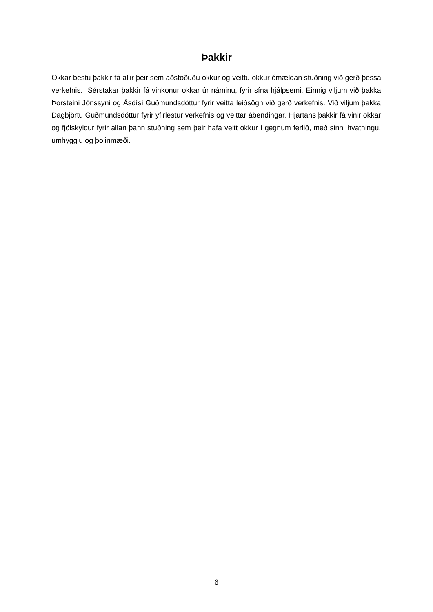### **Þakkir**

<span id="page-6-0"></span>Okkar bestu þakkir fá allir þeir sem aðstoðuðu okkur og veittu okkur ómældan stuðning við gerð þessa verkefnis. Sérstakar þakkir fá vinkonur okkar úr náminu, fyrir sína hjálpsemi. Einnig viljum við þakka Þorsteini Jónssyni og Ásdísi Guðmundsdóttur fyrir veitta leiðsögn við gerð verkefnis. Við viljum þakka Dagbjörtu Guðmundsdóttur fyrir yfirlestur verkefnis og veittar ábendingar. Hjartans þakkir fá vinir okkar og fjölskyldur fyrir allan þann stuðning sem þeir hafa veitt okkur í gegnum ferlið, með sinni hvatningu, umhyggju og þolinmæði.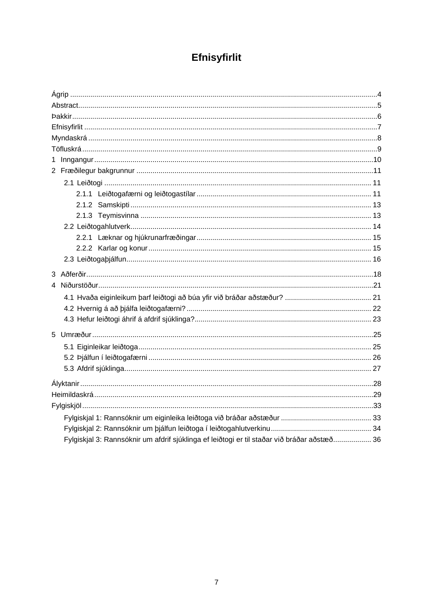## Efnisyfirlit

<span id="page-7-0"></span>

| Fylgiskjal 3: Rannsóknir um afdrif sjúklinga ef leiðtogi er til staðar við bráðar aðstæð 36 |  |
|---------------------------------------------------------------------------------------------|--|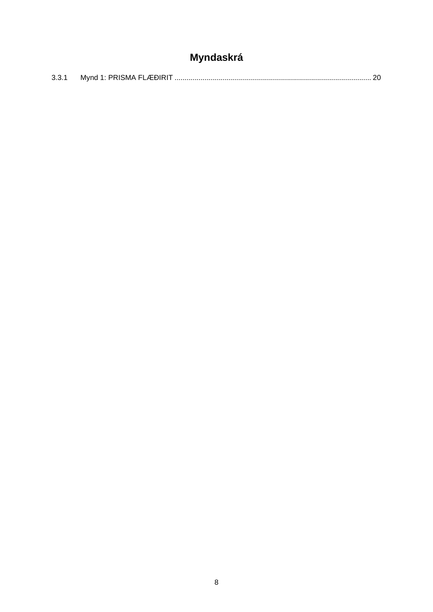## Myndaskrá

<span id="page-8-0"></span>

| 3.3.1 |  |
|-------|--|
|       |  |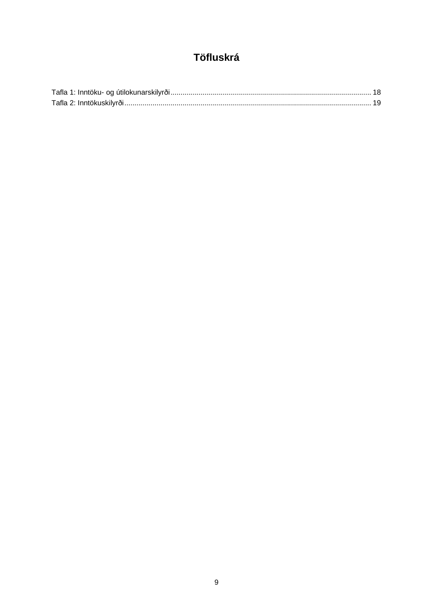## Töfluskrá

<span id="page-9-0"></span>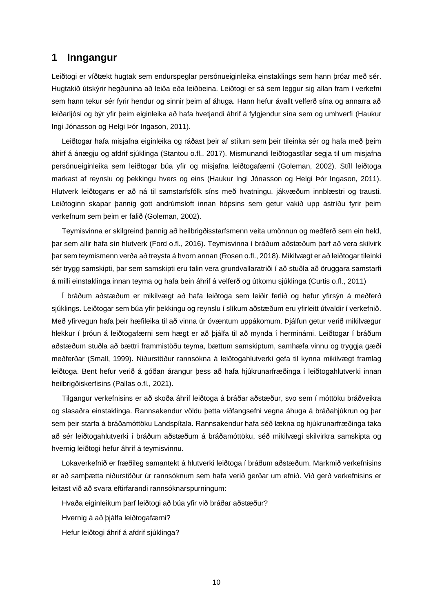### <span id="page-10-0"></span>**1 Inngangur**

Leiðtogi er víðtækt hugtak sem endurspeglar persónueiginleika einstaklings sem hann þróar með sér. Hugtakið útskýrir hegðunina að leiða eða leiðbeina. Leiðtogi er sá sem leggur sig allan fram í verkefni sem hann tekur sér fyrir hendur og sinnir þeim af áhuga. Hann hefur ávallt velferð sína og annarra að leiðarljósi og býr yfir þeim eiginleika að hafa hvetjandi áhrif á fylgjendur sína sem og umhverfi (Haukur Ingi Jónasson og Helgi Þór Ingason, 2011).

Leiðtogar hafa misjafna eiginleika og ráðast þeir af stílum sem þeir tileinka sér og hafa með þeim áhirf á ánægju og afdrif sjúklinga (Stantou o.fl., 2017). Mismunandi leiðtogastílar segja til um misjafna persónueiginleika sem leiðtogar búa yfir og misjafna leiðtogafærni (Goleman, 2002). Stíll leiðtoga markast af reynslu og þekkingu hvers og eins (Haukur Ingi Jónasson og Helgi Þór Ingason, 2011). Hlutverk leiðtogans er að ná til samstarfsfólk síns með hvatningu, jákvæðum innblæstri og trausti. Leiðtoginn skapar þannig gott andrúmsloft innan hópsins sem getur vakið upp ástríðu fyrir þeim verkefnum sem þeim er falið (Goleman, 2002).

Teymisvinna er skilgreind þannig að heilbrigðisstarfsmenn veita umönnun og meðferð sem ein held, þar sem allir hafa sín hlutverk (Ford o.fl., 2016). Teymisvinna í bráðum aðstæðum þarf að vera skilvirk þar sem teymismenn verða að treysta á hvorn annan (Rosen o.fl., 2018). Mikilvægt er að leiðtogar tileinki sér trygg samskipti, þar sem samskipti eru talin vera grundvallaratriði í að stuðla að öruggara samstarfi á milli einstaklinga innan teyma og hafa bein áhrif á velferð og útkomu sjúklinga (Curtis o.fl., 2011)

Í bráðum aðstæðum er mikilvægt að hafa leiðtoga sem leiðir ferlið og hefur yfirsýn á meðferð sjúklings. Leiðtogar sem búa yfir þekkingu og reynslu í slíkum aðstæðum eru yfirleitt útvaldir í verkefnið. Með yfirvegun hafa þeir hæfileika til að vinna úr óvæntum uppákomum. Þjálfun getur verið mikilvægur hlekkur í þróun á leiðtogafærni sem hægt er að þjálfa til að mynda í herminámi. Leiðtogar í bráðum aðstæðum stuðla að bættri frammistöðu teyma, bættum samskiptum, samhæfa vinnu og tryggja gæði meðferðar (Small, 1999). Niðurstöður rannsókna á leiðtogahlutverki gefa til kynna mikilvægt framlag leiðtoga. Bent hefur verið á góðan árangur þess að hafa hjúkrunarfræðinga í leiðtogahlutverki innan heilbrigðiskerfisins (Pallas o.fl., 2021).

Tilgangur verkefnisins er að skoða áhrif leiðtoga á bráðar aðstæður, svo sem í móttöku bráðveikra og slasaðra einstaklinga. Rannsakendur völdu þetta viðfangsefni vegna áhuga á bráðahjúkrun og þar sem þeir starfa á bráðamóttöku Landspítala. Rannsakendur hafa séð lækna og hjúkrunarfræðinga taka að sér leiðtogahlutverki í bráðum aðstæðum á bráðamóttöku, séð mikilvægi skilvirkra samskipta og hvernig leiðtogi hefur áhrif á teymisvinnu.

Lokaverkefnið er fræðileg samantekt á hlutverki leiðtoga í bráðum aðstæðum. Markmið verkefnisins er að samþætta niðurstöður úr rannsóknum sem hafa verið gerðar um efnið. Við gerð verkefnisins er leitast við að svara eftirfarandi rannsóknarspurningum:

- Hvaða eiginleikum þarf leiðtogi að búa yfir við bráðar aðstæður?
- Hvernig á að þjálfa leiðtogafærni?
- Hefur leiðtogi áhrif á afdrif sjúklinga?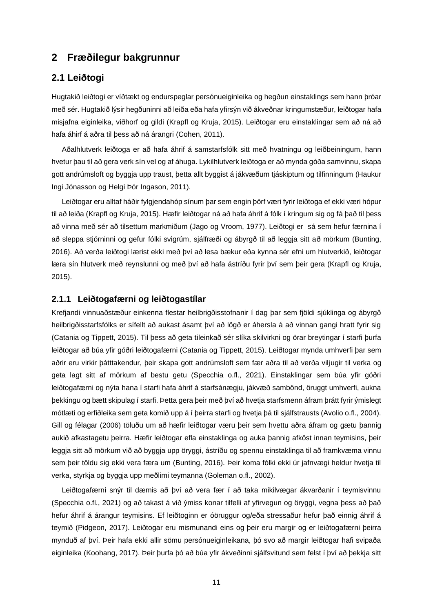### <span id="page-11-0"></span>**2 Fræðilegur bakgrunnur**

### <span id="page-11-1"></span>**2.1 Leiðtogi**

Hugtakið leiðtogi er víðtækt og endurspeglar persónueiginleika og hegðun einstaklings sem hann þróar með sér. Hugtakið lýsir hegðuninni að leiða eða hafa yfirsýn við ákveðnar kringumstæður, leiðtogar hafa misjafna eiginleika, viðhorf og gildi (Krapfl og Kruja, 2015). Leiðtogar eru einstaklingar sem að ná að hafa áhirf á aðra til þess að ná árangri (Cohen, 2011).

Aðalhlutverk leiðtoga er að hafa áhrif á samstarfsfólk sitt með hvatningu og leiðbeiningum, hann hvetur þau til að gera verk sín vel og af áhuga. Lykilhlutverk leiðtoga er að mynda góða samvinnu, skapa gott andrúmsloft og byggja upp traust, þetta allt byggist á jákvæðum tjáskiptum og tilfinningum (Haukur Ingi Jónasson og Helgi Þór Ingason, 2011).

Leiðtogar eru alltaf háðir fylgjendahóp sínum þar sem engin þörf væri fyrir leiðtoga ef ekki væri hópur til að leiða (Krapfl og Kruja, 2015). Hæfir leiðtogar ná að hafa áhrif á fólk í kringum sig og fá það til þess að vinna með sér að tilsettum markmiðum (Jago og Vroom, 1977). Leiðtogi er sá sem hefur færnina í að sleppa stjórninni og gefur fólki svigrúm, sjálfræði og ábyrgð til að leggja sitt að mörkum (Bunting, 2016). Að verða leiðtogi lærist ekki með því að lesa bækur eða kynna sér efni um hlutverkið, leiðtogar læra sín hlutverk með reynslunni og með því að hafa ástríðu fyrir því sem þeir gera (Krapfl og Kruja, 2015).

#### <span id="page-11-2"></span>**2.1.1 Leiðtogafærni og leiðtogastílar**

Krefjandi vinnuaðstæður einkenna flestar heilbrigðisstofnanir í dag þar sem fjöldi sjúklinga og ábyrgð heilbrigðisstarfsfólks er sífellt að aukast ásamt því að lögð er áhersla á að vinnan gangi hratt fyrir sig (Catania og Tippett, 2015). Til þess að geta tileinkað sér slíka skilvirkni og örar breytingar í starfi þurfa leiðtogar að búa yfir góðri leiðtogafærni (Catania og Tippett, 2015). Leiðtogar mynda umhverfi þar sem aðrir eru virkir þátttakendur, þeir skapa gott andrúmsloft sem fær aðra til að verða viljugir til verka og geta lagt sitt af mörkum af bestu getu (Specchia o.fl., 2021). Einstaklingar sem búa yfir góðri leiðtogafærni og nýta hana í starfi hafa áhrif á starfsánægju, jákvæð sambönd, öruggt umhverfi, aukna þekkingu og bætt skipulag í starfi. Þetta gera þeir með því að hvetja starfsmenn áfram þrátt fyrir ýmislegt mótlæti og erfiðleika sem geta komið upp á í þeirra starfi og hvetja þá til sjálfstrausts (Avolio o.fl., 2004). Gill og félagar (2006) töluðu um að hæfir leiðtogar væru þeir sem hvettu aðra áfram og gætu þannig aukið afkastagetu þeirra. Hæfir leiðtogar efla einstaklinga og auka þannig afköst innan teymisins, þeir leggja sitt að mörkum við að byggja upp öryggi, ástríðu og spennu einstaklinga til að framkvæma vinnu sem þeir töldu sig ekki vera færa um (Bunting, 2016). Þeir koma fólki ekki úr jafnvægi heldur hvetja til verka, styrkja og byggja upp meðlimi teymanna (Goleman o.fl., 2002).

Leiðtogafærni snýr til dæmis að því að vera fær í að taka mikilvægar ákvarðanir í teymisvinnu (Specchia o.fl., 2021) og að takast á við ýmiss konar tilfelli af yfirvegun og öryggi, vegna þess að það hefur áhrif á árangur teymisins. Ef leiðtoginn er óöruggur og/eða stressaður hefur það einnig áhrif á teymið (Pidgeon, 2017). Leiðtogar eru mismunandi eins og þeir eru margir og er leiðtogafærni þeirra mynduð af því. Þeir hafa ekki allir sömu persónueiginleikana, þó svo að margir leiðtogar hafi svipaða eiginleika (Koohang, 2017). Þeir þurfa þó að búa yfir ákveðinni sjálfsvitund sem felst í því að þekkja sitt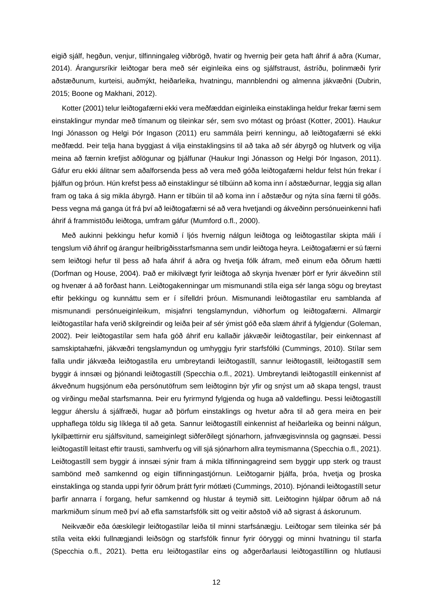eigið sjálf, hegðun, venjur, tilfinningaleg viðbrögð, hvatir og hvernig þeir geta haft áhrif á aðra (Kumar, 2014). Árangursríkir leiðtogar bera með sér eiginleika eins og sjálfstraust, ástríðu, þolinmæði fyrir aðstæðunum, kurteisi, auðmýkt, heiðarleika, hvatningu, mannblendni og almenna jákvæðni (Dubrin, 2015; Boone og Makhani, 2012).

Kotter (2001) telur leiðtogafærni ekki vera meðfæddan eiginleika einstaklinga heldur frekar færni sem einstaklingur myndar með tímanum og tileinkar sér, sem svo mótast og þróast (Kotter, 2001). Haukur Ingi Jónasson og Helgi Þór Ingason (2011) eru sammála þeirri kenningu, að leiðtogafærni sé ekki meðfædd. Þeir telja hana byggjast á vilja einstaklingsins til að taka að sér ábyrgð og hlutverk og vilja meina að færnin krefjist aðlögunar og þjálfunar (Haukur Ingi Jónasson og Helgi Þór Ingason, 2011). Gáfur eru ekki álitnar sem aðalforsenda þess að vera með góða leiðtogafærni heldur felst hún frekar í þjálfun og þróun. Hún krefst þess að einstaklingur sé tilbúinn að koma inn í aðstæðurnar, leggja sig allan fram og taka á sig mikla ábyrgð. Hann er tilbúin til að koma inn í aðstæður og nýta sína færni til góðs. Þess vegna má ganga út frá því að leiðtogafærni sé að vera hvetjandi og ákveðinn persónueinkenni hafi áhrif á frammistöðu leiðtoga, umfram gáfur (Mumford o.fl., 2000).

Með aukinni þekkingu hefur komið í ljós hvernig nálgun leiðtoga og leiðtogastílar skipta máli í tengslum við áhrif og árangur heilbrigðisstarfsmanna sem undir leiðtoga heyra. Leiðtogafærni er sú færni sem leiðtogi hefur til þess að hafa áhrif á aðra og hvetja fólk áfram, með einum eða öðrum hætti (Dorfman og House, 2004). Það er mikilvægt fyrir leiðtoga að skynja hvenær þörf er fyrir ákveðinn stíl og hvenær á að forðast hann. Leiðtogakenningar um mismunandi stíla eiga sér langa sögu og breytast eftir þekkingu og kunnáttu sem er í sífelldri þróun. Mismunandi leiðtogastílar eru samblanda af mismunandi persónueiginleikum, misjafnri tengslamyndun, viðhorfum og leiðtogafærni. Allmargir leiðtogastílar hafa verið skilgreindir og leiða þeir af sér ýmist góð eða slæm áhrif á fylgjendur (Goleman, 2002). Þeir leiðtogastílar sem hafa góð áhrif eru kallaðir jákvæðir leiðtogastílar, þeir einkennast af samskiptahæfni, jákvæðri tengslamyndun og umhyggju fyrir starfsfólki (Cummings, 2010). Stílar sem falla undir jákvæða leiðtogastíla eru umbreytandi leiðtogastíll, sannur leiðtogastill, leiðtogastíll sem byggir á innsæi og þjónandi leiðtogastíll (Specchia o.fl., 2021). Umbreytandi leiðtogastíll einkennist af ákveðnum hugsjónum eða persónutöfrum sem leiðtoginn býr yfir og snýst um að skapa tengsl, traust og virðingu meðal starfsmanna. Þeir eru fyrirmynd fylgjenda og huga að valdeflingu. Þessi leiðtogastíll leggur áherslu á sjálfræði, hugar að þörfum einstaklings og hvetur aðra til að gera meira en þeir upphaflega töldu sig líklega til að geta. Sannur leiðtogastíll einkennist af heiðarleika og beinni nálgun, lykilþættirnir eru sjálfsvitund, sameiginlegt siðferðilegt sjónarhorn, jafnvægisvinnsla og gagnsæi. Þessi leiðtogastíll leitast eftir trausti, samhverfu og vill sjá sjónarhorn allra teymismanna (Specchia o.fl., 2021). Leiðtogastíll sem byggir á innsæi sýnir fram á mikla tilfinningagreind sem byggir upp sterk og traust sambönd með samkennd og eigin tilfinningastjórnun. Leiðtogarnir bjálfa, bróa, hvetja og broska einstaklinga og standa uppi fyrir öðrum þrátt fyrir mótlæti (Cummings, 2010). Þjónandi leiðtogastíll setur þarfir annarra í forgang, hefur samkennd og hlustar á teymið sitt. Leiðtoginn hjálpar öðrum að ná markmiðum sínum með því að efla samstarfsfólk sitt og veitir aðstoð við að sigrast á áskorunum.

Neikvæðir eða óæskilegir leiðtogastílar leiða til minni starfsánægju. Leiðtogar sem tileinka sér þá stíla veita ekki fullnægjandi leiðsögn og starfsfólk finnur fyrir óöryggi og minni hvatningu til starfa (Specchia o.fl., 2021). Þetta eru leiðtogastílar eins og aðgerðarlausi leiðtogastíllinn og hlutlausi

12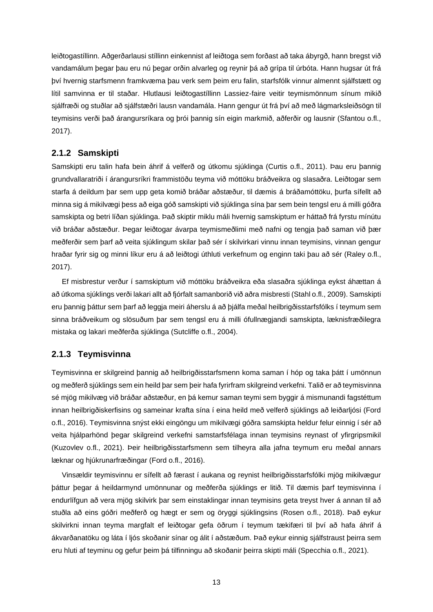leiðtogastíllinn. Aðgerðarlausi stíllinn einkennist af leiðtoga sem forðast að taka ábyrgð, hann bregst við vandamálum þegar þau eru nú þegar orðin alvarleg og reynir þá að grípa til úrbóta. Hann hugsar út frá því hvernig starfsmenn framkvæma þau verk sem þeim eru falin, starfsfólk vinnur almennt sjálfstætt og lítil samvinna er til staðar. Hlutlausi leiðtogastíllinn Lassiez-faire veitir teymismönnum sínum mikið sjálfræði og stuðlar að sjálfstæðri lausn vandamála. Hann gengur út frá því að með lágmarksleiðsögn til teymisins verði það árangursríkara og þrói þannig sín eigin markmið, aðferðir og lausnir (Sfantou o.fl., 2017).

#### <span id="page-13-0"></span>**2.1.2 Samskipti**

Samskipti eru talin hafa bein áhrif á velferð og útkomu sjúklinga (Curtis o.fl., 2011). Þau eru þannig grundvallaratriði í árangursríkri frammistöðu teyma við móttöku bráðveikra og slasaðra. Leiðtogar sem starfa á deildum þar sem upp geta komið bráðar aðstæður, til dæmis á bráðamóttöku, þurfa sífellt að minna sig á mikilvægi þess að eiga góð samskipti við sjúklinga sína þar sem bein tengsl eru á milli góðra samskipta og betri líðan sjúklinga. Það skiptir miklu máli hvernig samskiptum er háttað frá fyrstu mínútu við bráðar aðstæður. Þegar leiðtogar ávarpa teymismeðlimi með nafni og tengja það saman við þær meðferðir sem þarf að veita sjúklingum skilar það sér í skilvirkari vinnu innan teymisins, vinnan gengur hraðar fyrir sig og minni líkur eru á að leiðtogi úthluti verkefnum og enginn taki þau að sér (Raley o.fl., 2017).

Ef misbrestur verður í samskiptum við móttöku bráðveikra eða slasaðra sjúklinga eykst áhættan á að útkoma sjúklings verði lakari allt að fjórfalt samanborið við aðra misbresti (Stahl o.fl., 2009). Samskipti eru þannig þáttur sem þarf að leggja meiri áherslu á að þjálfa meðal heilbrigðisstarfsfólks í teymum sem sinna bráðveikum og slösuðum þar sem tengsl eru á milli ófullnægjandi samskipta, læknisfræðilegra mistaka og lakari meðferða sjúklinga (Sutcliffe o.fl., 2004).

#### <span id="page-13-1"></span>**2.1.3 Teymisvinna**

Teymisvinna er skilgreind þannig að heilbrigðisstarfsmenn koma saman í hóp og taka þátt í umönnun og meðferð sjúklings sem ein heild þar sem þeir hafa fyrirfram skilgreind verkefni. Talið er að teymisvinna sé mjög mikilvæg við bráðar aðstæður, en þá kemur saman teymi sem byggir á mismunandi fagstéttum innan heilbrigðiskerfisins og sameinar krafta sína í eina heild með velferð sjúklings að leiðarljósi (Ford o.fl., 2016). Teymisvinna snýst ekki eingöngu um mikilvægi góðra samskipta heldur felur einnig í sér að veita hjálparhönd þegar skilgreind verkefni samstarfsfélaga innan teymisins reynast of yfirgripsmikil (Kuzovlev o.fl., 2021). Þeir heilbrigðisstarfsmenn sem tilheyra alla jafna teymum eru meðal annars læknar og hjúkrunarfræðingar (Ford o.fl., 2016).

Vinsældir teymisvinnu er sífellt að færast í aukana og reynist heilbrigðisstarfsfólki mjög mikilvægur þáttur þegar á heildarmynd umönnunar og meðferða sjúklings er litið. Til dæmis þarf teymisvinna í endurlífgun að vera mjög skilvirk þar sem einstaklingar innan teymisins geta treyst hver á annan til að stuðla að eins góðri meðferð og hægt er sem og öryggi sjúklingsins (Rosen o.fl., 2018). Það eykur skilvirkni innan teyma margfalt ef leiðtogar gefa öðrum í teymum tækifæri til því að hafa áhrif á ákvarðanatöku og láta í ljós skoðanir sínar og álit í aðstæðum. Það eykur einnig sjálfstraust þeirra sem eru hluti af teyminu og gefur þeim þá tilfinningu að skoðanir þeirra skipti máli (Specchia o.fl., 2021).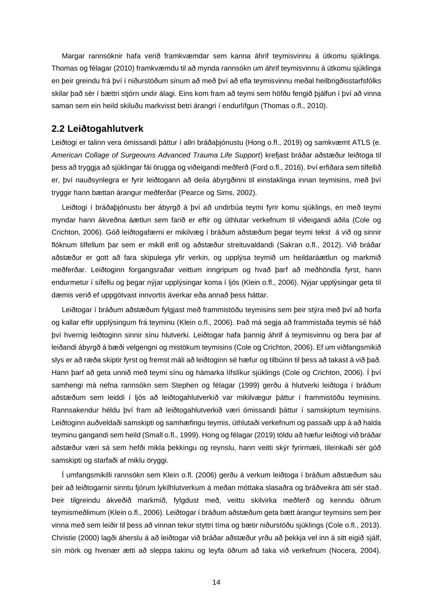Margar rannsóknir hafa verið framkvæmdar sem kanna áhrif teymisvinnu á útkomu sjúklinga. Thomas og félagar (2010) framkvæmdu til að mynda rannsókn um áhrif teymisvinnu á útkomu sjúklinga en þeir greindu frá því í niðurstöðum sínum að með því að efla teymisvinnu meðal heilbrigðisstarfsfólks skilar það sér í bættri stjórn undir álagi. Eins kom fram að teymi sem höfðu fengið þjálfun í því að vinna saman sem ein heild skiluðu markvisst betri árangri í endurlífgun (Thomas o.fl., 2010).

#### <span id="page-14-0"></span>**2.2 Leiðtogahlutverk**

Leiðtogi er talinn vera ómissandi þáttur í allri bráðaþjónustu (Hong o.fl., 2019) og samkvæmt ATLS (e. *American Collage of Surgeouns Advanced Trauma Life Support*) krefjast bráðar aðstæður leiðtoga til þess að tryggja að sjúklingar fái örugga og viðeigandi meðferð (Ford o.fl., 2016). Því erfiðara sem tilfellið er, því nauðsynlegra er fyrir leiðtogann að deila ábyrgðinni til einstaklinga innan teymisins, með því tryggir hann bættan árangur meðferðar (Pearce og Sims, 2002).

Leiðtogi í bráðaþjónustu ber ábyrgð á því að undirbúa teymi fyrir komu sjúklings, en með teymi myndar hann ákveðna áætlun sem farið er eftir og úthlutar verkefnum til viðeigandi aðila (Cole og Crichton, 2006). Góð leiðtogafærni er mikilvæg í bráðum aðstæðum þegar teymi tekst á við og sinnir flóknum tilfellum þar sem er mikill erill og aðstæður streituvaldandi (Sakran o.fl., 2012). Við bráðar aðstæður er gott að fara skipulega yfir verkin, og upplýsa teymið um heildaráætlun og markmið meðferðar. Leiðtoginn forgangsraðar veittum inngripum og hvað þarf að meðhöndla fyrst, hann endurmetur í sífellu og þegar nýjar upplýsingar koma í ljós (Klein o.fl., 2006). Nýjar upplýsingar geta til dæmis verið ef uppgötvast innvortis áverkar eða annað þess háttar.

Leiðtogar í bráðum aðstæðum fylgjast með frammistöðu teymisins sem þeir stýra með því að horfa og kallar eftir upplýsingum frá teyminu (Klein o.fl., 2006). Það má segja að frammistaða teymis sé háð því hvernig leiðtoginn sinnir sínu hlutverki. Leiðtogar hafa þannig áhrif á teymisvinnu og bera þar af leiðandi ábyrgð á bæði velgengni og mistökum teymisins (Cole og Crichton, 2006). Ef um viðfangsmikið slys er að ræða skiptir fyrst og fremst máli að leiðtoginn sé hæfur og tilbúinn til þess að takast á við það. Hann þarf að geta unnið með teymi sínu og hámarka lífslíkur sjúklings (Cole og Crichton, 2006). Í því samhengi má nefna rannsókn sem Stephen og félagar (1999) gerðu á hlutverki leiðtoga í bráðum aðstæðum sem leiddi í ljós að leiðtogahlutverkið var mikilvægur þáttur í frammistöðu teymisins. Rannsakendur héldu því fram að leiðtogahlutverkið væri ómissandi þáttur í samskiptum teymisins. Leiðtoginn auðveldaði samskipti og samhæfingu teymis, úthlutaði verkefnum og passaði upp á að halda teyminu gangandi sem heild (Small o.fl., 1999). Hong og félagar (2019) töldu að hæfur leiðtogi við bráðar aðstæður væri sá sem hefði mikla þekkingu og reynslu, hann veitti skýr fyrirmæli, tileinkaði sér góð samskipti og starfaði af miklu öryggi.

Í umfangsmikilli rannsókn sem Klein o.fl. (2006) gerðu á verkum leiðtoga í bráðum aðstæðum sáu þeir að leiðtogarnir sinntu fjórum lykilhlutverkum á meðan móttaka slasaðra og bráðveikra átti sér stað. Þeir tilgreindu ákveðið markmið, fylgdust með, veittu skilvirka meðferð og kenndu öðrum teymismeðlimum (Klein o.fl., 2006). Leiðtogar í bráðum aðstæðum geta bætt árangur teymsins sem þeir vinna með sem leiðir til þess að vinnan tekur styttri tíma og bætir niðurstöðu sjúklings (Cole o.fl., 2013). Christie (2000) lagði áherslu á að leiðtogar við bráðar aðstæður yrðu að þekkja vel inn á sitt eigið sjálf, sín mörk og hvenær ætti að sleppa takinu og leyfa öðrum að taka við verkefnum (Nocera, 2004).

14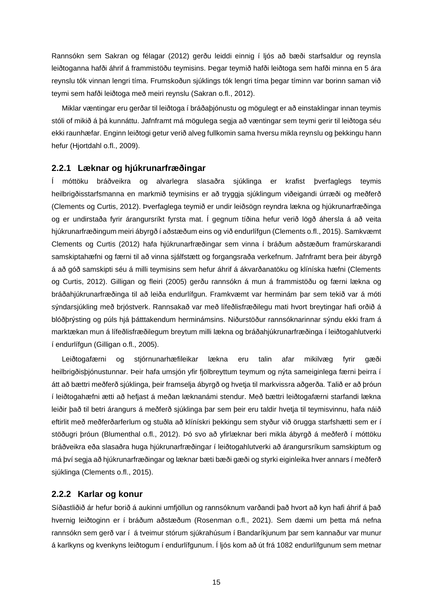Rannsókn sem Sakran og félagar (2012) gerðu leiddi einnig í ljós að bæði starfsaldur og reynsla leiðtoganna hafði áhrif á frammistöðu teymisins. Þegar teymið hafði leiðtoga sem hafði minna en 5 ára reynslu tók vinnan lengri tíma. Frumskoðun sjúklings tók lengri tíma þegar tíminn var borinn saman við teymi sem hafði leiðtoga með meiri reynslu (Sakran o.fl., 2012).

Miklar væntingar eru gerðar til leiðtoga í bráðaþjónustu og mögulegt er að einstaklingar innan teymis stóli of mikið á þá kunnáttu. Jafnframt má mögulega segja að væntingar sem teymi gerir til leiðtoga séu ekki raunhæfar. Enginn leiðtogi getur verið alveg fullkomin sama hversu mikla reynslu og þekkingu hann hefur (Hjortdahl o.fl., 2009).

#### <span id="page-15-0"></span>**2.2.1 Læknar og hjúkrunarfræðingar**

Í móttöku bráðveikra og alvarlegra slasaðra sjúklinga er krafist þverfaglegs teymis heilbrigðisstarfsmanna en markmið teymisins er að tryggja sjúklingum viðeigandi úrræði og meðferð (Clements og Curtis, 2012). Þverfaglega teymið er undir leiðsögn reyndra lækna og hjúkrunarfræðinga og er undirstaða fyrir árangursríkt fyrsta mat. Í gegnum tíðina hefur verið lögð áhersla á að veita hjúkrunarfræðingum meiri ábyrgð í aðstæðum eins og við endurlífgun (Clements o.fl., 2015). Samkvæmt Clements og Curtis (2012) hafa hjúkrunarfræðingar sem vinna í bráðum aðstæðum framúrskarandi samskiptahæfni og færni til að vinna sjálfstætt og forgangsraða verkefnum. Jafnframt bera þeir ábyrgð á að góð samskipti séu á milli teymisins sem hefur áhrif á ákvarðanatöku og klíníska hæfni (Clements og Curtis, 2012). Gilligan og fleiri (2005) gerðu rannsókn á mun á frammistöðu og færni lækna og bráðahjúkrunarfræðinga til að leiða endurlífgun. Framkvæmt var herminám þar sem tekið var á móti sýndarsjúkling með brjóstverk. Rannsakað var með lífeðlisfræðilegu mati hvort breytingar hafi orðið á blóðþrýsting og púls hjá þátttakendum herminámsins. Niðurstöður rannsóknarinnar sýndu ekki fram á marktækan mun á lífeðlisfræðilegum breytum milli lækna og bráðahjúkrunarfræðinga í leiðtogahlutverki í endurlífgun (Gilligan o.fl., 2005).

Leiðtogafærni og stjórnunarhæfileikar lækna eru talin afar mikilvæg fyrir gæði heilbrigðisþjónustunnar. Þeir hafa umsjón yfir fjölbreyttum teymum og nýta sameiginlega færni þeirra í átt að bættri meðferð sjúklinga, þeir framselja ábyrgð og hvetja til markvissra aðgerða. Talið er að þróun í leiðtogahæfni ætti að hefjast á meðan læknanámi stendur. Með bættri leiðtogafærni starfandi lækna leiðir það til betri árangurs á meðferð sjúklinga þar sem þeir eru taldir hvetja til teymisvinnu, hafa náið eftirlit með meðferðarferlum og stuðla að klínískri þekkingu sem styður við örugga starfshætti sem er í stöðugri þróun (Blumenthal o.fl., 2012). Þó svo að yfirlæknar beri mikla ábyrgð á meðferð í móttöku bráðveikra eða slasaðra huga hjúkrunarfræðingar í leiðtogahlutverki að árangursríkum samskiptum og má því segja að hjúkrunarfræðingar og læknar bæti bæði gæði og styrki eiginleika hver annars í meðferð sjúklinga (Clements o.fl., 2015).

#### <span id="page-15-1"></span>**2.2.2 Karlar og konur**

Síðastliðið ár hefur borið á aukinni umfjöllun og rannsóknum varðandi það hvort að kyn hafi áhrif á það hvernig leiðtoginn er í bráðum aðstæðum (Rosenman o.fl., 2021). Sem dæmi um þetta má nefna rannsókn sem gerð var í á tveimur stórum sjúkrahúsum í Bandaríkjunum þar sem kannaður var munur á karlkyns og kvenkyns leiðtogum í endurlífgunum. Í ljós kom að út frá 1082 endurlífgunum sem metnar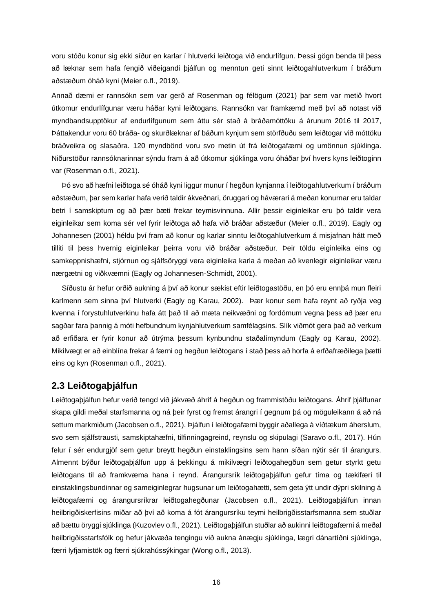voru stóðu konur sig ekki síður en karlar í hlutverki leiðtoga við endurlífgun. Þessi gögn benda til þess að læknar sem hafa fengið viðeigandi þjálfun og menntun geti sinnt leiðtogahlutverkum í bráðum aðstæðum óháð kyni (Meier o.fl., 2019).

Annað dæmi er rannsókn sem var gerð af Rosenman og félögum (2021) þar sem var metið hvort útkomur endurlífgunar væru háðar kyni leiðtogans. Rannsókn var framkæmd með því að notast við myndbandsupptökur af endurlífgunum sem áttu sér stað á bráðamóttöku á árunum 2016 til 2017, Þáttakendur voru 60 bráða- og skurðlæknar af báðum kynjum sem störfðuðu sem leiðtogar við móttöku bráðveikra og slasaðra. 120 myndbönd voru svo metin út frá leiðtogafærni og umönnun sjúklinga. Niðurstöður rannsóknarinnar sýndu fram á að útkomur sjúklinga voru óháðar því hvers kyns leiðtoginn var (Rosenman o.fl., 2021).

Þó svo að hæfni leiðtoga sé óháð kyni liggur munur í hegðun kynjanna í leiðtogahlutverkum í bráðum aðstæðum, þar sem karlar hafa verið taldir ákveðnari, öruggari og háværari á meðan konurnar eru taldar betri í samskiptum og að þær bæti frekar teymisvinnuna. Allir þessir eiginleikar eru þó taldir vera eiginleikar sem koma sér vel fyrir leiðtoga að hafa við bráðar aðstæður (Meier o.fl., 2019). Eagly og Johannesen (2001) héldu því fram að konur og karlar sinntu leiðtogahlutverkum á misjafnan hátt með tilliti til þess hvernig eiginleikar þeirra voru við bráðar aðstæður. Þeir töldu eiginleika eins og samkeppnishæfni, stjórnun og sjálfsöryggi vera eiginleika karla á meðan að kvenlegir eiginleikar væru nærgætni og viðkvæmni (Eagly og Johannesen-Schmidt, 2001).

Síðustu ár hefur orðið aukning á því að konur sækist eftir leiðtogastöðu, en þó eru ennþá mun fleiri karlmenn sem sinna því hlutverki (Eagly og Karau, 2002). Þær konur sem hafa reynt að ryðja veg kvenna í forystuhlutverkinu hafa átt það til að mæta neikvæðni og fordómum vegna þess að þær eru sagðar fara þannig á móti hefbundnum kynjahlutverkum samfélagsins. Slík viðmót gera það að verkum að erfiðara er fyrir konur að útrýma þessum kynbundnu staðalímyndum (Eagly og Karau, 2002). Mikilvægt er að einblína frekar á færni og hegðun leiðtogans í stað þess að horfa á erfðafræðilega þætti eins og kyn (Rosenman o.fl., 2021).

#### <span id="page-16-0"></span>**2.3 Leiðtogaþjálfun**

Leiðtogaþjálfun hefur verið tengd við jákvæð áhrif á hegðun og frammistöðu leiðtogans. Áhrif þjálfunar skapa gildi meðal starfsmanna og ná þeir fyrst og fremst árangri í gegnum þá og möguleikann á að ná settum markmiðum (Jacobsen o.fl., 2021). Þjálfun í leiðtogafærni byggir aðallega á víðtækum áherslum, svo sem sjálfstrausti, samskiptahæfni, tilfinningagreind, reynslu og skipulagi (Saravo o.fl., 2017). Hún felur í sér endurgjöf sem getur breytt hegðun einstaklingsins sem hann síðan nýtir sér til árangurs. Almennt býður leiðtogaþjálfun upp á þekkingu á mikilvægri leiðtogahegðun sem getur styrkt getu leiðtogans til að framkvæma hana í reynd. Árangursrík leiðtogaþjálfun gefur tíma og tækifæri til einstaklingsbundinnar og sameiginlegrar hugsunar um leiðtogahætti, sem geta ýtt undir dýpri skilning á leiðtogafærni og árangursríkrar leiðtogahegðunar (Jacobsen o.fl., 2021). Leiðtogaþjálfun innan heilbrigðiskerfisins miðar að því að koma á fót árangursríku teymi heilbrigðisstarfsmanna sem stuðlar að bættu öryggi sjúklinga (Kuzovlev o.fl., 2021). Leiðtogaþjálfun stuðlar að aukinni leiðtogafærni á meðal heilbrigðisstarfsfólk og hefur jákvæða tengingu við aukna ánægju sjúklinga, lægri dánartíðni sjúklinga, færri lyfjamistök og færri sjúkrahússýkingar (Wong o.fl., 2013).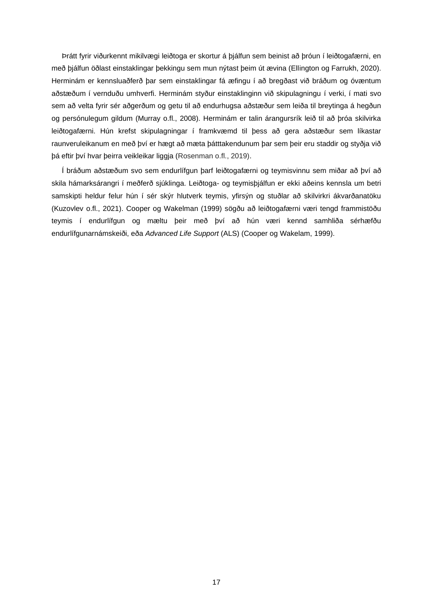Þrátt fyrir viðurkennt mikilvægi leiðtoga er skortur á þjálfun sem beinist að þróun í leiðtogafærni, en með þjálfun öðlast einstaklingar þekkingu sem mun nýtast þeim út ævina (Ellington og Farrukh, 2020). Herminám er kennsluaðferð þar sem einstaklingar fá æfingu í að bregðast við bráðum og óvæntum aðstæðum í vernduðu umhverfi. Herminám styður einstaklinginn við skipulagningu í verki, í mati svo sem að velta fyrir sér aðgerðum og getu til að endurhugsa aðstæður sem leiða til breytinga á hegðun og persónulegum gildum (Murray o.fl., 2008). Herminám er talin árangursrík leið til að þróa skilvirka leiðtogafærni. Hún krefst skipulagningar í framkvæmd til þess að gera aðstæður sem líkastar raunveruleikanum en með því er hægt að mæta þátttakendunum þar sem þeir eru staddir og styðja við þá eftir því hvar þeirra veikleikar liggja (Rosenman o.fl., 2019).

Í bráðum aðstæðum svo sem endurlífgun þarf leiðtogafærni og teymisvinnu sem miðar að því að skila hámarksárangri í meðferð sjúklinga. Leiðtoga- og teymisþjálfun er ekki aðeins kennsla um betri samskipti heldur felur hún í sér skýr hlutverk teymis, yfirsýn og stuðlar að skilvirkri ákvarðanatöku (Kuzovlev o.fl., 2021). Cooper og Wakelman (1999) sögðu að leiðtogafærni væri tengd frammistöðu teymis í endurlífgun og mæltu þeir með því að hún væri kennd samhliða sérhæfðu endurlífgunarnámskeiði, eða *Advanced Life Support* (ALS) (Cooper og Wakelam, 1999).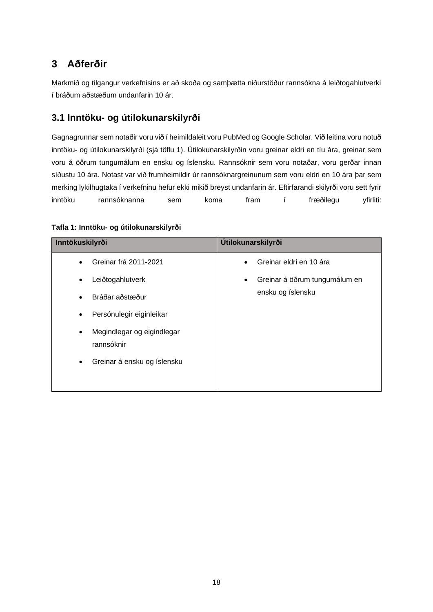## <span id="page-18-0"></span>**3 Aðferðir**

Markmið og tilgangur verkefnisins er að skoða og samþætta niðurstöður rannsókna á leiðtogahlutverki í bráðum aðstæðum undanfarin 10 ár.

## **3.1 Inntöku- og útilokunarskilyrði**

Gagnagrunnar sem notaðir voru við í heimildaleit voru PubMed og Google Scholar. Við leitina voru notuð inntöku- og útilokunarskilyrði (sjá töflu 1). Útilokunarskilyrðin voru greinar eldri en tíu ára, greinar sem voru á öðrum tungumálum en ensku og íslensku. Rannsóknir sem voru notaðar, voru gerðar innan síðustu 10 ára. Notast var við frumheimildir úr rannsóknargreinunum sem voru eldri en 10 ára þar sem merking lykilhugtaka í verkefninu hefur ekki mikið breyst undanfarin ár. Eftirfarandi skilyrði voru sett fyrir inntöku rannsóknanna sem koma fram í fræðilegu yfirliti:

| Inntökuskilyrði                                       | <b>Útilokunarskilyrði</b>                               |
|-------------------------------------------------------|---------------------------------------------------------|
| Greinar frá 2011-2021<br>$\bullet$                    | Greinar eldri en 10 ára                                 |
| Leiðtogahlutverk<br>$\bullet$                         | Greinar á öðrum tungumálum en<br>٠<br>ensku og íslensku |
| Bráðar aðstæður<br>$\bullet$                          |                                                         |
| Persónulegir eiginleikar<br>$\bullet$                 |                                                         |
| Megindlegar og eigindlegar<br>$\bullet$<br>rannsóknir |                                                         |
| Greinar á ensku og íslensku<br>$\bullet$              |                                                         |

#### <span id="page-18-1"></span>**Tafla 1: Inntöku- og útilokunarskilyrði**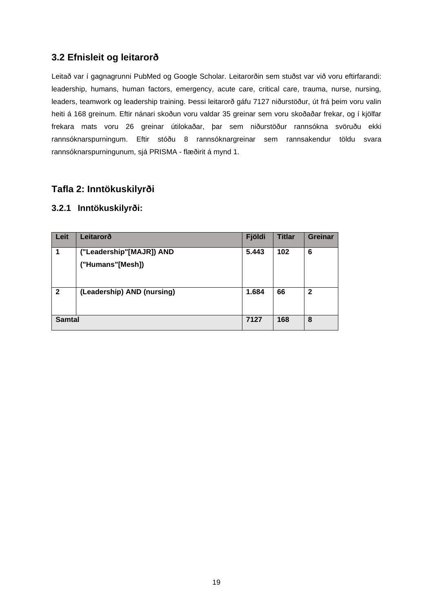## **3.2 Efnisleit og leitarorð**

Leitað var í gagnagrunni PubMed og Google Scholar. Leitarorðin sem stuðst var við voru eftirfarandi: leadership, humans, human factors, emergency, acute care, critical care, trauma, nurse, nursing, leaders, teamwork og leadership training. Þessi leitarorð gáfu 7127 niðurstöður, út frá þeim voru valin heiti á 168 greinum. Eftir nánari skoðun voru valdar 35 greinar sem voru skoðaðar frekar, og í kjölfar frekara mats voru 26 greinar útilokaðar, þar sem niðurstöður rannsókna svöruðu ekki rannsóknarspurningum. Eftir stóðu 8 rannsóknargreinar sem rannsakendur töldu svara rannsóknarspurningunum, sjá PRISMA - flæðirit á mynd 1.

### <span id="page-19-0"></span>**Tafla 2: Inntökuskilyrði**

### **3.2.1 Inntökuskilyrði:**

| Leit          | Leitarorð                  | Fjöldi | <b>Titlar</b> | <b>Greinar</b> |
|---------------|----------------------------|--------|---------------|----------------|
|               | ("Leadership"[MAJR]) AND   | 5.443  | 102           | 6              |
|               | ("Humans"[Mesh])           |        |               |                |
| $\mathbf{2}$  | (Leadership) AND (nursing) | 1.684  | 66            | 2              |
| <b>Samtal</b> |                            | 7127   | 168           | 8              |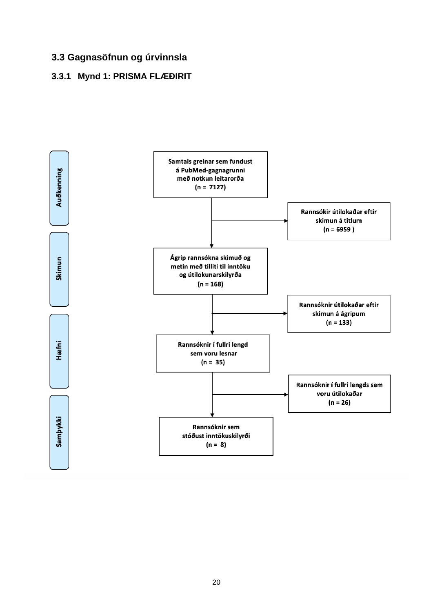## **3.3 Gagnasöfnun og úrvinnsla**

### <span id="page-20-0"></span>**3.3.1 Mynd 1: PRISMA FLÆÐIRIT**

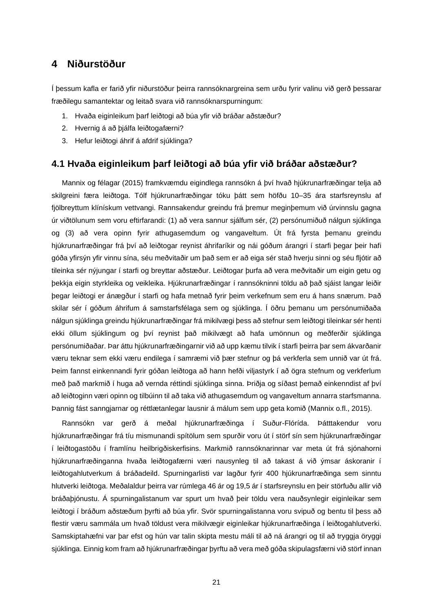## <span id="page-21-0"></span>**4 Niðurstöður**

Í þessum kafla er farið yfir niðurstöður þeirra rannsóknargreina sem urðu fyrir valinu við gerð þessarar fræðilegu samantektar og leitað svara við rannsóknarspurningum:

- 1. Hvaða eiginleikum þarf leiðtogi að búa yfir við bráðar aðstæður?
- 2. Hvernig á að biálfa leiðtogafærni?
- 3. Hefur leiðtogi áhrif á afdrif sjúklinga?

### <span id="page-21-1"></span>**4.1 Hvaða eiginleikum þarf leiðtogi að búa yfir við bráðar aðstæður?**

Mannix og félagar (2015) framkvæmdu eigindlega rannsókn á því hvað hjúkrunarfræðingar telja að skilgreini færa leiðtoga. Tólf hjúkrunarfræðingar tóku þátt sem höfðu 10–35 ára starfsreynslu af fjölbreyttum klínískum vettvangi. Rannsakendur greindu frá þremur meginþemum við úrvinnslu gagna úr viðtölunum sem voru eftirfarandi: (1) að vera sannur sjálfum sér, (2) persónumiðuð nálgun sjúklinga og (3) að vera opinn fyrir athugasemdum og vangaveltum. Út frá fyrsta þemanu greindu hjúkrunarfræðingar frá því að leiðtogar reynist áhrifaríkir og nái góðum árangri í starfi þegar þeir hafi góða yfirsýn yfir vinnu sína, séu meðvitaðir um það sem er að eiga sér stað hverju sinni og séu fljótir að tileinka sér nýjungar í starfi og breyttar aðstæður. Leiðtogar þurfa að vera meðvitaðir um eigin getu og þekkja eigin styrkleika og veikleika. Hjúkrunarfræðingar í rannsókninni töldu að það sjáist langar leiðir þegar leiðtogi er ánægður í starfi og hafa metnað fyrir þeim verkefnum sem eru á hans snærum. Það skilar sér í góðum áhrifum á samstarfsfélaga sem og sjúklinga. Í öðru þemanu um persónumiðaða nálgun sjúklinga greindu hjúkrunarfræðingar frá mikilvægi þess að stefnur sem leiðtogi tileinkar sér henti ekki öllum sjúklingum og því reynist það mikilvægt að hafa umönnun og meðferðir sjúklinga persónumiðaðar. Þar áttu hjúkrunarfræðingarnir við að upp kæmu tilvik í starfi þeirra þar sem ákvarðanir væru teknar sem ekki væru endilega í samræmi við þær stefnur og þá verkferla sem unnið var út frá. Þeim fannst einkennandi fyrir góðan leiðtoga að hann hefði viljastyrk í að ögra stefnum og verkferlum með það markmið í huga að vernda réttindi sjúklinga sinna. Þriðja og síðast þemað einkenndist af því að leiðtoginn væri opinn og tilbúinn til að taka við athugasemdum og vangaveltum annarra starfsmanna. Þannig fást sanngjarnar og réttlætanlegar lausnir á málum sem upp geta komið (Mannix o.fl., 2015).

Rannsókn var gerð á meðal hjúkrunarfræðinga í Suður-Flórída. Þátttakendur voru hjúkrunarfræðingar frá tíu mismunandi spítölum sem spurðir voru út í störf sín sem hjúkrunarfræðingar í leiðtogastöðu í framlínu heilbrigðiskerfisins. Markmið rannsóknarinnar var meta út frá sjónahorni hjúkrunarfræðinganna hvaða leiðtogafærni væri nausynleg til að takast á við ýmsar áskoranir í leiðtogahlutverkum á bráðadeild. Spurningarlisti var lagður fyrir 400 hjúkrunarfræðinga sem sinntu hlutverki leiðtoga. Meðalaldur þeirra var rúmlega 46 ár og 19,5 ár í starfsreynslu en þeir störfuðu allir við bráðaþjónustu. Á spurningalistanum var spurt um hvað þeir töldu vera nauðsynlegir eiginleikar sem leiðtogi í bráðum aðstæðum þyrfti að búa yfir. Svör spurningalistanna voru svipuð og bentu til þess að flestir væru sammála um hvað töldust vera mikilvægir eiginleikar hjúkrunarfræðinga í leiðtogahlutverki. Samskiptahæfni var þar efst og hún var talin skipta mestu máli til að ná árangri og til að tryggja öryggi sjúklinga. Einnig kom fram að hjúkrunarfræðingar þyrftu að vera með góða skipulagsfærni við störf innan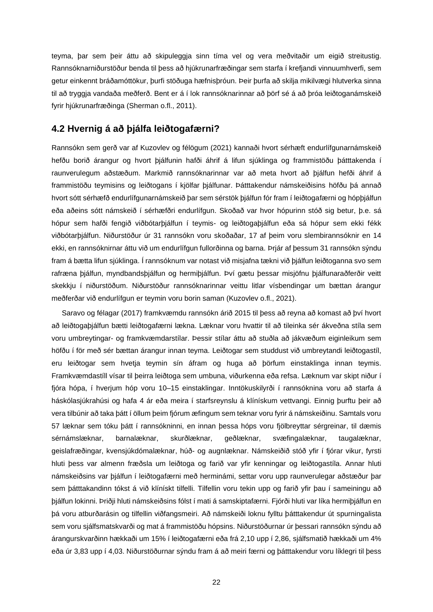teyma, þar sem þeir áttu að skipuleggja sinn tíma vel og vera meðvitaðir um eigið streitustig. Rannsóknarniðurstöður benda til þess að hjúkrunarfræðingar sem starfa í krefjandi vinnuumhverfi, sem getur einkennt bráðamóttökur, þurfi stöðuga hæfnisþróun. Þeir þurfa að skilja mikilvægi hlutverka sinna til að tryggja vandaða meðferð. Bent er á í lok rannsóknarinnar að þörf sé á að þróa leiðtoganámskeið fyrir hjúkrunarfræðinga (Sherman o.fl., 2011).

### <span id="page-22-0"></span>**4.2 Hvernig á að þjálfa leiðtogafærni?**

Rannsókn sem gerð var af Kuzovlev og félögum (2021) kannaði hvort sérhæft endurlífgunarnámskeið hefðu borið árangur og hvort þjálfunin hafði áhrif á lifun sjúklinga og frammistöðu þátttakenda í raunverulegum aðstæðum. Markmið rannsóknarinnar var að meta hvort að þjálfun hefði áhrif á frammistöðu teymisins og leiðtogans í kjölfar þjálfunar. Þátttakendur námskeiðisins höfðu þá annað hvort sótt sérhæfð endurlífgunarnámskeið þar sem sérstök þjálfun fór fram í leiðtogafærni og hópþjálfun eða aðeins sótt námskeið í sérhæfðri endurlífgun. Skoðað var hvor hópurinn stóð sig betur, þ.e. sá hópur sem hafði fengið viðbótarþjálfun í teymis- og leiðtogaþjálfun eða sá hópur sem ekki fékk viðbótarþjálfun. Niðurstöður úr 31 rannsókn voru skoðaðar, 17 af þeim voru slembirannsóknir en 14 ekki, en rannsóknirnar áttu við um endurlífgun fullorðinna og barna. Þrjár af þessum 31 rannsókn sýndu fram á bætta lifun sjúklinga. Í rannsóknum var notast við misjafna tækni við þjálfun leiðtoganna svo sem rafræna þjálfun, myndbandsþjálfun og hermiþjálfun. Því gætu þessar misjöfnu þjálfunaraðferðir veitt skekkju í niðurstöðum. Niðurstöður rannsóknarinnar veittu litlar vísbendingar um bættan árangur meðferðar við endurlífgun er teymin voru borin saman (Kuzovlev o.fl., 2021).

Saravo og félagar (2017) framkvæmdu rannsókn árið 2015 til þess að reyna að komast að því hvort að leiðtogaþjálfun bætti leiðtogafærni lækna. Læknar voru hvattir til að tileinka sér ákveðna stíla sem voru umbreytingar- og framkvæmdarstílar. Þessir stílar áttu að stuðla að jákvæðum eiginleikum sem höfðu í för með sér bættan árangur innan teyma. Leiðtogar sem studdust við umbreytandi leiðtogastíl, eru leiðtogar sem hvetja teymin sín áfram og huga að þörfum einstaklinga innan teymis. Framkvæmdastíll vísar til þeirra leiðtoga sem umbuna, viðurkenna eða refsa. Læknum var skipt niður í fjóra hópa, í hverjum hóp voru 10–15 einstaklingar. Inntökuskilyrði í rannsóknina voru að starfa á háskólasjúkrahúsi og hafa 4 ár eða meira í starfsreynslu á klínískum vettvangi. Einnig þurftu þeir að vera tilbúnir að taka þátt í öllum þeim fjórum æfingum sem teknar voru fyrir á námskeiðinu. Samtals voru 57 læknar sem tóku þátt í rannsókninni, en innan þessa hóps voru fjölbreyttar sérgreinar, til dæmis sérnámslæknar, barnalæknar, skurðlæknar, geðlæknar, svæfingalæknar, taugalæknar, geislafræðingar, kvensjúkdómalæknar, húð- og augnlæknar. Námskeiðið stóð yfir í fjórar vikur, fyrsti hluti þess var almenn fræðsla um leiðtoga og farið var yfir kenningar og leiðtogastíla. Annar hluti námskeiðsins var þjálfun í leiðtogafærni með herminámi, settar voru upp raunverulegar aðstæður þar sem þátttakandinn tókst á við klínískt tilfelli. Tilfellin voru tekin upp og farið yfir þau í sameiningu að þjálfun lokinni. Þriðji hluti námskeiðsins fólst í mati á samskiptafærni. Fjórði hluti var líka hermiþjálfun en þá voru atburðarásin og tilfellin viðfangsmeiri. Að námskeiði loknu fylltu þátttakendur út spurningalista sem voru sjálfsmatskvarði og mat á frammistöðu hópsins. Niðurstöðurnar úr þessari rannsókn sýndu að árangurskvarðinn hækkaði um 15% í leiðtogafærni eða frá 2,10 upp í 2,86, sjálfsmatið hækkaði um 4% eða úr 3,83 upp í 4,03. Niðurstöðurnar sýndu fram á að meiri færni og þátttakendur voru líklegri til þess

22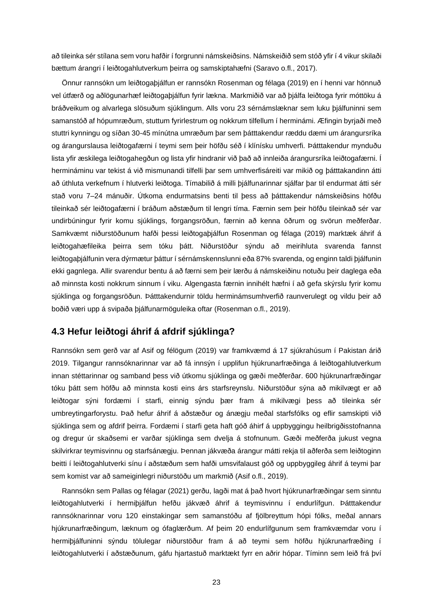að tileinka sér stílana sem voru hafðir í forgrunni námskeiðsins. Námskeiðið sem stóð yfir í 4 vikur skilaði bættum árangri í leiðtogahlutverkum þeirra og samskiptahæfni (Saravo o.fl., 2017).

Önnur rannsókn um leiðtogaþjálfun er rannsókn Rosenman og félaga (2019) en í henni var hönnuð vel útfærð og aðlögunarhæf leiðtogaþjálfun fyrir lækna. Markmiðið var að þjálfa leiðtoga fyrir móttöku á bráðveikum og alvarlega slösuðum sjúklingum. Alls voru 23 sérnámslæknar sem luku þjálfuninni sem samanstóð af hópumræðum, stuttum fyrirlestrum og nokkrum tilfellum í herminámi. Æfingin byrjaði með stuttri kynningu og síðan 30-45 mínútna umræðum þar sem þátttakendur ræddu dæmi um árangursríka og árangurslausa leiðtogafærni í teymi sem þeir höfðu séð í klínísku umhverfi. Þátttakendur mynduðu lista yfir æskilega leiðtogahegðun og lista yfir hindranir við það að innleiða árangursríka leiðtogafærni. Í hermináminu var tekist á við mismunandi tilfelli þar sem umhverfisáreiti var mikið og þátttakandinn átti að úthluta verkefnum í hlutverki leiðtoga. Tímabilið á milli þjálfunarinnar sjálfar þar til endurmat átti sér stað voru 7–24 mánuðir. Útkoma endurmatsins benti til þess að þátttakendur námskeiðsins höfðu tileinkað sér leiðtogafærni í bráðum aðstæðum til lengri tíma. Færnin sem þeir höfðu tileinkað sér var undirbúningur fyrir komu sjúklings, forgangsröðun, færnin að kenna öðrum og svörun meðferðar. Samkvæmt niðurstöðunum hafði þessi leiðtogaþjálfun Rosenman og félaga (2019) marktæk áhrif á leiðtogahæfileika þeirra sem tóku þátt. Niðurstöður sýndu að meirihluta svarenda fannst leiðtogaþjálfunin vera dýrmætur þáttur í sérnámskennslunni eða 87% svarenda, og enginn taldi þjálfunin ekki gagnlega. Allir svarendur bentu á að færni sem þeir lærðu á námskeiðinu notuðu þeir daglega eða að minnsta kosti nokkrum sinnum í viku. Algengasta færnin innihélt hæfni í að gefa skýrslu fyrir komu sjúklinga og forgangsröðun. Þátttakendurnir töldu herminámsumhverfið raunverulegt og vildu þeir að boðið væri upp á svipaða þjálfunarmöguleika oftar (Rosenman o.fl., 2019).

### <span id="page-23-0"></span>**4.3 Hefur leiðtogi áhrif á afdrif sjúklinga?**

Rannsókn sem gerð var af Asif og félögum (2019) var framkvæmd á 17 sjúkrahúsum í Pakistan árið 2019. Tilgangur rannsóknarinnar var að fá innsýn í upplifun hjúkrunarfræðinga á leiðtogahlutverkum innan stéttarinnar og samband þess við útkomu sjúklinga og gæði meðferðar. 600 hjúkrunarfræðingar tóku þátt sem höfðu að minnsta kosti eins árs starfsreynslu. Niðurstöður sýna að mikilvægt er að leiðtogar sýni fordæmi í starfi, einnig sýndu þær fram á mikilvægi þess að tileinka sér umbreytingarforystu. Það hefur áhrif á aðstæður og ánægju meðal starfsfólks og eflir samskipti við sjúklinga sem og afdrif þeirra. Fordæmi í starfi geta haft góð áhirf á uppbyggingu heilbrigðisstofnanna og dregur úr skaðsemi er varðar sjúklinga sem dvelja á stofnunum. Gæði meðferða jukust vegna skilvirkrar teymisvinnu og starfsánægiu. Þennan jákvæða árangur mátti rekja til aðferða sem leiðtoginn beitti í leiðtogahlutverki sínu í aðstæðum sem hafði umsvifalaust góð og uppbyggileg áhrif á teymi þar sem komist var að sameiginlegri niðurstöðu um markmið (Asif o.fl., 2019).

Rannsókn sem Pallas og félagar (2021) gerðu, lagði mat á það hvort hjúkrunarfræðingar sem sinntu leiðtogahlutverki í hermiþjálfun hefðu jákvæð áhrif á teymisvinnu í endurlífgun. Þátttakendur rannsóknarinnar voru 120 einstakingar sem samanstóðu af fjölbreyttum hópi fólks, meðal annars hjúkrunarfræðingum, læknum og ófaglærðum. Af þeim 20 endurlífgunum sem framkvæmdar voru í hermiþjálfuninni sýndu tölulegar niðurstöður fram á að teymi sem höfðu hjúkrunarfræðing í leiðtogahlutverki í aðstæðunum, gáfu hjartastuð marktækt fyrr en aðrir hópar. Tíminn sem leið frá því

23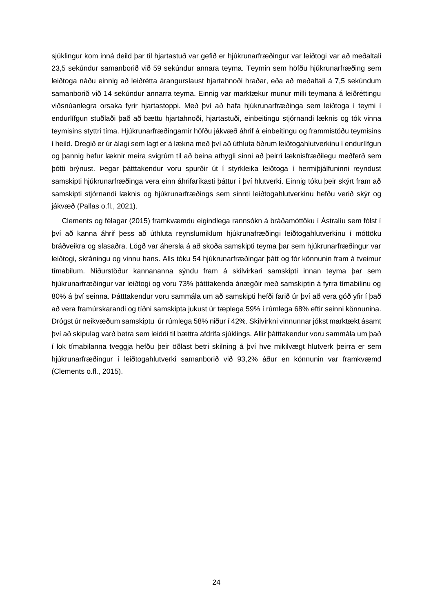sjúklingur kom inná deild þar til hjartastuð var gefið er hjúkrunarfræðingur var leiðtogi var að meðaltali 23,5 sekúndur samanborið við 59 sekúndur annara teyma. Teymin sem höfðu hjúkrunarfræðing sem leiðtoga náðu einnig að leiðrétta árangurslaust hjartahnoði hraðar, eða að meðaltali á 7,5 sekúndum samanborið við 14 sekúndur annarra teyma. Einnig var marktækur munur milli teymana á leiðréttingu viðsnúanlegra orsaka fyrir hjartastoppi. Með því að hafa hjúkrunarfræðinga sem leiðtoga í teymi í endurlífgun stuðlaði það að bættu hjartahnoði, hjartastuði, einbeitingu stjórnandi læknis og tók vinna teymisins styttri tíma. Hjúkrunarfræðingarnir höfðu jákvæð áhrif á einbeitingu og frammistöðu teymisins í heild. Dregið er úr álagi sem lagt er á lækna með því að úthluta öðrum leiðtogahlutverkinu í endurlífgun og þannig hefur læknir meira svigrúm til að beina athygli sinni að þeirri læknisfræðilegu meðferð sem þótti brýnust. Þegar þátttakendur voru spurðir út í styrkleika leiðtoga í hermiþjálfuninni reyndust samskipti hjúkrunarfræðinga vera einn áhrifaríkasti þáttur í því hlutverki. Einnig tóku þeir skýrt fram að samskipti stjórnandi læknis og hjúkrunarfræðings sem sinnti leiðtogahlutverkinu hefðu verið skýr og jákvæð (Pallas o.fl., 2021).

Clements og félagar (2015) framkvæmdu eigindlega rannsókn á bráðamóttöku í Ástralíu sem fólst í því að kanna áhrif þess að úthluta reynslumiklum hjúkrunafræðingi leiðtogahlutverkinu í móttöku bráðveikra og slasaðra. Lögð var áhersla á að skoða samskipti teyma þar sem hjúkrunarfræðingur var leiðtogi, skráningu og vinnu hans. Alls tóku 54 hjúkrunarfræðingar þátt og fór könnunin fram á tveimur tímabilum. Niðurstöður kannananna sýndu fram á skilvirkari samskipti innan teyma þar sem hjúkrunarfræðingur var leiðtogi og voru 73% þátttakenda ánægðir með samskiptin á fyrra tímabilinu og 80% á því seinna. Þátttakendur voru sammála um að samskipti hefði farið úr því að vera góð yfir í það að vera framúrskarandi og tíðni samskipta jukust úr tæplega 59% í rúmlega 68% eftir seinni könnunina. Drógst úr neikvæðum samskiptu úr rúmlega 58% niður í 42%. Skilvirkni vinnunnar jókst marktækt ásamt því að skipulag varð betra sem leiddi til bættra afdrifa sjúklings. Allir þátttakendur voru sammála um það í lok tímabilanna tveggja hefðu þeir öðlast betri skilning á því hve mikilvægt hlutverk þeirra er sem hjúkrunarfræðingur í leiðtogahlutverki samanborið við 93,2% áður en könnunin var framkvæmd (Clements o.fl., 2015).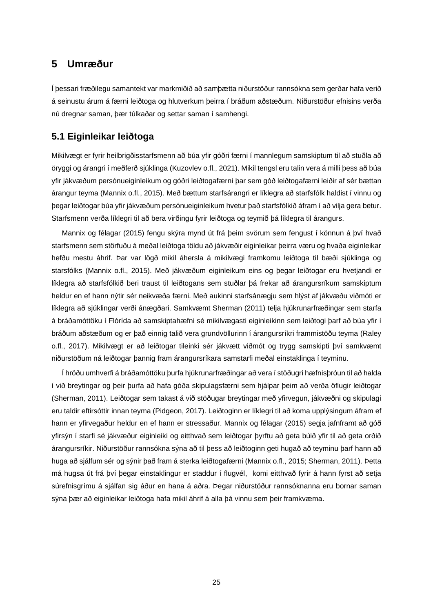### <span id="page-25-0"></span>**5 Umræður**

Í þessari fræðilegu samantekt var markmiðið að samþætta niðurstöður rannsókna sem gerðar hafa verið á seinustu árum á færni leiðtoga og hlutverkum þeirra í bráðum aðstæðum. Niðurstöður efnisins verða nú dregnar saman, þær túlkaðar og settar saman í samhengi.

#### <span id="page-25-1"></span>**5.1 Eiginleikar leiðtoga**

Mikilvægt er fyrir heilbrigðisstarfsmenn að búa yfir góðri færni í mannlegum samskiptum til að stuðla að öryggi og árangri í meðferð sjúklinga (Kuzovlev o.fl., 2021). Mikil tengsl eru talin vera á milli þess að búa yfir jákvæðum persónueiginleikum og góðri leiðtogafærni þar sem góð leiðtogafærni leiðir af sér bættan árangur teyma (Mannix o.fl., 2015). Með bættum starfsárangri er líklegra að starfsfólk haldist í vinnu og þegar leiðtogar búa yfir jákvæðum persónueiginleikum hvetur það starfsfólkið áfram í að vilja gera betur. Starfsmenn verða líklegri til að bera virðingu fyrir leiðtoga og teymið þá líklegra til árangurs.

Mannix og félagar (2015) fengu skýra mynd út frá þeim svörum sem fengust í könnun á því hvað starfsmenn sem störfuðu á meðal leiðtoga töldu að jákvæðir eiginleikar þeirra væru og hvaða eiginleikar hefðu mestu áhrif. Þar var lögð mikil áhersla á mikilvægi framkomu leiðtoga til bæði sjúklinga og starsfólks (Mannix o.fl., 2015). Með jákvæðum eiginleikum eins og þegar leiðtogar eru hvetjandi er líklegra að starfsfólkið beri traust til leiðtogans sem stuðlar þá frekar að árangursríkum samskiptum heldur en ef hann nýtir sér neikvæða færni. Með aukinni starfsánægju sem hlýst af jákvæðu viðmóti er líklegra að sjúklingar verði ánægðari. Samkvæmt Sherman (2011) telja hjúkrunarfræðingar sem starfa á bráðamóttöku í Flórída að samskiptahæfni sé mikilvægasti eiginleikinn sem leiðtogi þarf að búa yfir í bráðum aðstæðum og er það einnig talið vera grundvöllurinn í árangursríkri frammistöðu teyma (Raley o.fl., 2017). Mikilvægt er að leiðtogar tileinki sér jákvætt viðmót og trygg samskipti því samkvæmt niðurstöðum ná leiðtogar þannig fram árangursríkara samstarfi meðal einstaklinga í teyminu.

Í hröðu umhverfi á bráðamóttöku þurfa hjúkrunarfræðingar að vera í stöðugri hæfnisþróun til að halda í við breytingar og þeir þurfa að hafa góða skipulagsfærni sem hjálpar þeim að verða öflugir leiðtogar (Sherman, 2011). Leiðtogar sem takast á við stöðugar breytingar með yfirvegun, jákvæðni og skipulagi eru taldir eftirsóttir innan teyma (Pidgeon, 2017). Leiðtoginn er líklegri til að koma upplýsingum áfram ef hann er yfirvegaður heldur en ef hann er stressaður. Mannix og félagar (2015) segja jafnframt að góð yfirsýn í starfi sé jákvæður eiginleiki og eitthvað sem leiðtogar þyrftu að geta búið yfir til að geta orðið árangursríkir. Niðurstöður rannsókna sýna að til þess að leiðtoginn geti hugað að teyminu þarf hann að huga að sjálfum sér og sýnir það fram á sterka leiðtogafærni (Mannix o.fl., 2015; Sherman, 2011). Þetta má hugsa út frá því þegar einstaklingur er staddur í flugvél, komi eitthvað fyrir á hann fyrst að setja súrefnisgrímu á sjálfan sig áður en hana á aðra. Þegar niðurstöður rannsóknanna eru bornar saman sýna þær að eiginleikar leiðtoga hafa mikil áhrif á alla þá vinnu sem þeir framkvæma.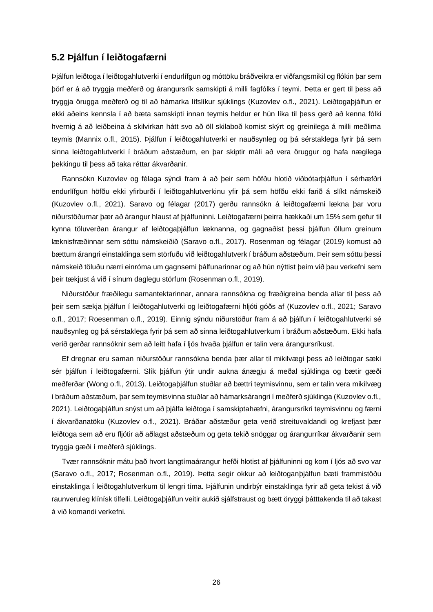#### <span id="page-26-0"></span>**5.2 Þjálfun í leiðtogafærni**

Þjálfun leiðtoga í leiðtogahlutverki í endurlífgun og móttöku bráðveikra er viðfangsmikil og flókin þar sem þörf er á að tryggja meðferð og árangursrík samskipti á milli fagfólks í teymi. Þetta er gert til þess að tryggja örugga meðferð og til að hámarka lífslíkur sjúklings (Kuzovlev o.fl., 2021). Leiðtogaþjálfun er ekki aðeins kennsla í að bæta samskipti innan teymis heldur er hún líka til þess gerð að kenna fólki hvernig á að leiðbeina á skilvirkan hátt svo að öll skilaboð komist skýrt og greinilega á milli meðlima teymis (Mannix o.fl., 2015). Þjálfun í leiðtogahlutverki er nauðsynleg og þá sérstaklega fyrir þá sem sinna leiðtogahlutverki í bráðum aðstæðum, en þar skiptir máli að vera öruggur og hafa nægilega þekkingu til þess að taka réttar ákvarðanir.

Rannsókn Kuzovlev og félaga sýndi fram á að þeir sem höfðu hlotið viðbótarþjálfun í sérhæfðri endurlífgun höfðu ekki yfirburði í leiðtogahlutverkinu yfir þá sem höfðu ekki farið á slíkt námskeið (Kuzovlev o.fl., 2021). Saravo og félagar (2017) gerðu rannsókn á leiðtogafærni lækna þar voru niðurstöðurnar þær að árangur hlaust af þjálfuninni. Leiðtogafærni þeirra hækkaði um 15% sem gefur til kynna töluverðan árangur af leiðtogaþjálfun læknanna, og gagnaðist þessi þjálfun öllum greinum læknisfræðinnar sem sóttu námskeiðið (Saravo o.fl., 2017). Rosenman og félagar (2019) komust að bættum árangri einstaklinga sem störfuðu við leiðtogahlutverk í bráðum aðstæðum. Þeir sem sóttu þessi námskeið töluðu nærri einróma um gagnsemi þálfunarinnar og að hún nýttist þeim við þau verkefni sem þeir tækjust á við í sínum daglegu störfum (Rosenman o.fl., 2019).

Niðurstöður fræðilegu samantektarinnar, annara rannsókna og fræðigreina benda allar til þess að þeir sem sækja þjálfun í leiðtogahlutverki og leiðtogafærni hljóti góðs af (Kuzovlev o.fl., 2021; Saravo o.fl., 2017; Roesenman o.fl., 2019). Einnig sýndu niðurstöður fram á að þjálfun í leiðtogahlutverki sé nauðsynleg og þá sérstaklega fyrir þá sem að sinna leiðtogahlutverkum í bráðum aðstæðum. Ekki hafa verið gerðar rannsóknir sem að leitt hafa í ljós hvaða þjálfun er talin vera árangursríkust.

Ef dregnar eru saman niðurstöður rannsókna benda þær allar til mikilvægi þess að leiðtogar sæki sér þjálfun í leiðtogafærni. Slík þjálfun ýtir undir aukna ánægju á meðal sjúklinga og bætir gæði meðferðar (Wong o.fl., 2013). Leiðtogaþjálfun stuðlar að bættri teymisvinnu, sem er talin vera mikilvæg í bráðum aðstæðum, þar sem teymisvinna stuðlar að hámarksárangri í meðferð sjúklinga (Kuzovlev o.fl., 2021). Leiðtogaþjálfun snýst um að þjálfa leiðtoga í samskiptahæfni, árangursríkri teymisvinnu og færni í ákvarðanatöku (Kuzovlev o.fl., 2021). Bráðar aðstæður geta verið streituvaldandi og krefjast þær leiðtoga sem að eru fljótir að aðlagst aðstæðum og geta tekið snöggar og árangurríkar ákvarðanir sem tryggja gæði í meðferð sjúklings.

Tvær rannsóknir mátu það hvort langtímaárangur hefði hlotist af þjálfuninni og kom í ljós að svo var (Saravo o.fl., 2017; Rosenman o.fl., 2019). Þetta segir okkur að leiðtoganþjálfun bæti frammistöðu einstaklinga í leiðtogahlutverkum til lengri tíma. Þjálfunin undirbýr einstaklinga fyrir að geta tekist á við raunveruleg klínísk tilfelli. Leiðtogaþjálfun veitir aukið sjálfstraust og bætt öryggi þátttakenda til að takast á við komandi verkefni.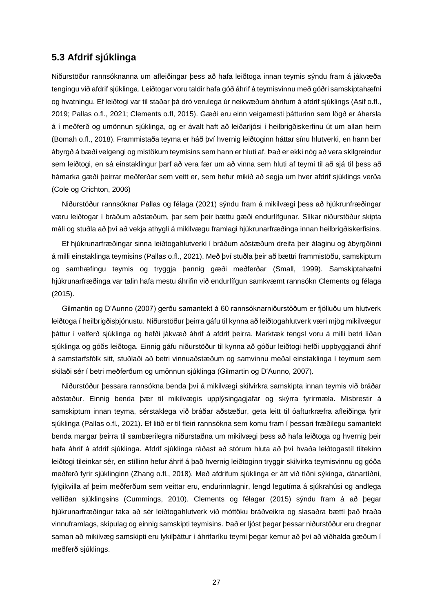### <span id="page-27-0"></span>**5.3 Afdrif sjúklinga**

Niðurstöður rannsóknanna um afleiðingar þess að hafa leiðtoga innan teymis sýndu fram á jákvæða tengingu við afdrif sjúklinga. Leiðtogar voru taldir hafa góð áhrif á teymisvinnu með góðri samskiptahæfni og hvatningu. Ef leiðtogi var til staðar þá dró verulega úr neikvæðum áhrifum á afdrif sjúklings (Asif o.fl., 2019; Pallas o.fl., 2021; Clements o.fl, 2015). Gæði eru einn veigamesti þátturinn sem lögð er áhersla á í meðferð og umönnun sjúklinga, og er ávalt haft að leiðarljósi í heilbrigðiskerfinu út um allan heim (Bomah o.fl., 2018). Frammistaða teyma er háð því hvernig leiðtoginn háttar sínu hlutverki, en hann ber ábyrgð á bæði velgengi og mistökum teymisins sem hann er hluti af. Það er ekki nóg að vera skilgreindur sem leiðtogi, en sá einstaklingur þarf að vera fær um að vinna sem hluti af teymi til að sjá til þess að hámarka gæði þeirrar meðferðar sem veitt er, sem hefur mikið að segja um hver afdrif sjúklings verða (Cole og Crichton, 2006)

Niðurstöður rannsóknar Pallas og félaga (2021) sýndu fram á mikilvægi þess að hjúkrunfræðingar væru leiðtogar í bráðum aðstæðum, þar sem þeir bættu gæði endurlífgunar. Slíkar niðurstöður skipta máli og stuðla að því að vekja athygli á mikilvægu framlagi hjúkrunarfræðinga innan heilbrigðiskerfisins.

Ef hjúkrunarfræðingar sinna leiðtogahlutverki í bráðum aðstæðum dreifa þeir álaginu og ábyrgðinni á milli einstaklinga teymisins (Pallas o.fl., 2021). Með því stuðla þeir að bættri frammistöðu, samskiptum og samhæfingu teymis og tryggja þannig gæði meðferðar (Small, 1999). Samskiptahæfni hjúkrunarfræðinga var talin hafa mestu áhrifin við endurlífgun samkvæmt rannsókn Clements og félaga (2015).

Gilmantin og D'Aunno (2007) gerðu samantekt á 60 rannsóknarniðurstöðum er fjölluðu um hlutverk leiðtoga í heilbrigðisþjónustu. Niðurstöður þeirra gáfu til kynna að leiðtogahlutverk væri mjög mikilvægur þáttur í velferð sjúklinga og hefði jákvæð áhrif á afdrif þeirra. Marktæk tengsl voru á milli betri líðan sjúklinga og góðs leiðtoga. Einnig gáfu niðurstöður til kynna að góður leiðtogi hefði uppbyggjandi áhrif á samstarfsfólk sitt, stuðlaði að betri vinnuaðstæðum og samvinnu meðal einstaklinga í teymum sem skilaði sér í betri meðferðum og umönnun sjúklinga (Gilmartin og D'Aunno, 2007).

Niðurstöður þessara rannsókna benda því á mikilvægi skilvirkra samskipta innan teymis við bráðar aðstæður. Einnig benda þær til mikilvægis upplýsingagjafar og skýrra fyrirmæla. Misbrestir á samskiptum innan teyma, sérstaklega við bráðar aðstæður, geta leitt til óafturkræfra afleiðinga fyrir sjúklinga (Pallas o.fl., 2021). Ef litið er til fleiri rannsókna sem komu fram í þessari fræðilegu samantekt benda margar þeirra til sambærilegra niðurstaðna um mikilvægi þess að hafa leiðtoga og hvernig þeir hafa áhrif á afdrif sjúklinga. Afdrif sjúklinga ráðast að stórum hluta að því hvaða leiðtogastíl tiltekinn leiðtogi tileinkar sér, en stíllinn hefur áhrif á það hvernig leiðtoginn tryggir skilvirka teymisvinnu og góða meðferð fyrir sjúklinginn (Zhang o.fl., 2018). Með afdrifum sjúklinga er átt við tíðni sýkinga, dánartíðni, fylgikvilla af þeim meðferðum sem veittar eru, endurinnlagnir, lengd legutíma á sjúkrahúsi og andlega vellíðan sjúklingsins (Cummings, 2010). Clements og félagar (2015) sýndu fram á að þegar hjúkrunarfræðingur taka að sér leiðtogahlutverk við móttöku bráðveikra og slasaðra bætti það hraða vinnuframlags, skipulag og einnig samskipti teymisins. Það er ljóst þegar þessar niðurstöður eru dregnar saman að mikilvæg samskipti eru lykilþáttur í áhrifaríku teymi þegar kemur að því að viðhalda gæðum í meðferð sjúklings.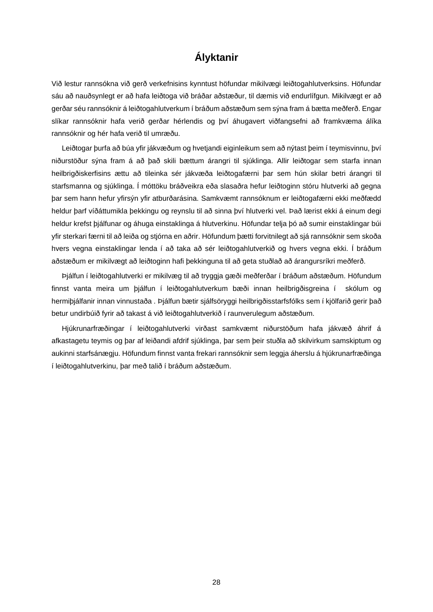## **Ályktanir**

<span id="page-28-0"></span>Við lestur rannsókna við gerð verkefnisins kynntust höfundar mikilvægi leiðtogahlutverksins. Höfundar sáu að nauðsynlegt er að hafa leiðtoga við bráðar aðstæður, til dæmis við endurlífgun. Mikilvægt er að gerðar séu rannsóknir á leiðtogahlutverkum í bráðum aðstæðum sem sýna fram á bætta meðferð. Engar slíkar rannsóknir hafa verið gerðar hérlendis og því áhugavert viðfangsefni að framkvæma álíka rannsóknir og hér hafa verið til umræðu.

Leiðtogar þurfa að búa yfir jákvæðum og hvetjandi eiginleikum sem að nýtast þeim í teymisvinnu, því niðurstöður sýna fram á að það skili bættum árangri til sjúklinga. Allir leiðtogar sem starfa innan heilbrigðiskerfisins ættu að tileinka sér jákvæða leiðtogafærni þar sem hún skilar betri árangri til starfsmanna og sjúklinga. Í móttöku bráðveikra eða slasaðra hefur leiðtoginn stóru hlutverki að gegna þar sem hann hefur yfirsýn yfir atburðarásina. Samkvæmt rannsóknum er leiðtogafærni ekki meðfædd heldur þarf víðáttumikla þekkingu og reynslu til að sinna því hlutverki vel. Það lærist ekki á einum degi heldur krefst þjálfunar og áhuga einstaklinga á hlutverkinu. Höfundar telja þó að sumir einstaklingar búi yfir sterkari færni til að leiða og stjórna en aðrir. Höfundum þætti forvitnilegt að sjá rannsóknir sem skoða hvers vegna einstaklingar lenda í að taka að sér leiðtogahlutverkið og hvers vegna ekki. Í bráðum aðstæðum er mikilvægt að leiðtoginn hafi þekkinguna til að geta stuðlað að árangursríkri meðferð.

Þjálfun í leiðtogahlutverki er mikilvæg til að tryggja gæði meðferðar í bráðum aðstæðum. Höfundum finnst vanta meira um þjálfun í leiðtogahlutverkum bæði innan heilbrigðisgreina í skólum og hermiþjálfanir innan vinnustaða . Þjálfun bætir sjálfsöryggi heilbrigðisstarfsfólks sem í kjölfarið gerir það betur undirbúið fyrir að takast á við leiðtogahlutverkið í raunverulegum aðstæðum.

Hjúkrunarfræðingar í leiðtogahlutverki virðast samkvæmt niðurstöðum hafa jákvæð áhrif á afkastagetu teymis og þar af leiðandi afdrif sjúklinga, þar sem þeir stuðla að skilvirkum samskiptum og aukinni starfsánægju. Höfundum finnst vanta frekari rannsóknir sem leggja áherslu á hjúkrunarfræðinga í leiðtogahlutverkinu, þar með talið í bráðum aðstæðum.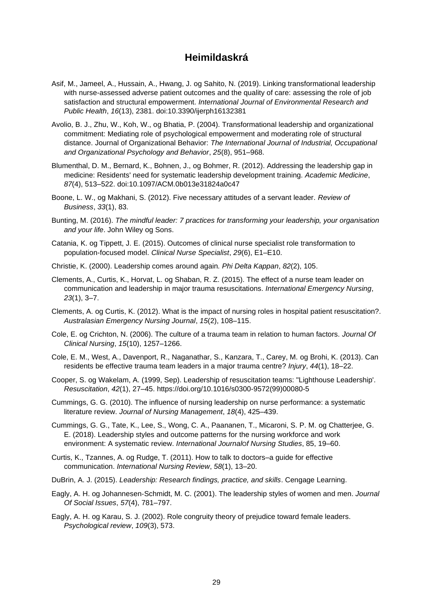## **Heimildaskrá**

- <span id="page-29-0"></span>Asif, M., Jameel, A., Hussain, A., Hwang, J. og Sahito, N. (2019). Linking transformational leadership with nurse-assessed adverse patient outcomes and the quality of care: assessing the role of job satisfaction and structural empowerment. *International Journal of Environmental Research and Public Health*, *16*(13), 2381. doi:10.3390/ijerph16132381
- Avolio, B. J., Zhu, W., Koh, W., og Bhatia, P. (2004). Transformational leadership and organizational commitment: Mediating role of psychological empowerment and moderating role of structural distance. Journal of Organizational Behavior: *The International Journal of Industrial, Occupational and Organizational Psychology and Behavior*, *25*(8), 951–968.
- Blumenthal, D. M., Bernard, K., Bohnen, J., og Bohmer, R. (2012). Addressing the leadership gap in medicine: Residents' need for systematic leadership development training. *Academic Medicine*, *87*(4), 513–522. doi:10.1097/ACM.0b013e31824a0c47
- Boone, L. W., og Makhani, S. (2012). Five necessary attitudes of a servant leader. *Review of Business*, *33*(1), 83.
- Bunting, M. (2016). *The mindful leader: 7 practices for transforming your leadership, your organisation and your life*. John Wiley og Sons.
- Catania, K. og Tippett, J. E. (2015). Outcomes of clinical nurse specialist role transformation to population-focused model. *Clinical Nurse Specialist*, *29*(6), E1–E10.
- Christie, K. (2000). Leadership comes around again*. Phi Delta Kappan*, *82*(2), 105.
- Clements, A., Curtis, K., Horvat, L. og Shaban, R. Z. (2015). The effect of a nurse team leader on communication and leadership in major trauma resuscitations. *International Emergency Nursing*, *23*(1), 3–7.
- Clements, A. og Curtis, K. (2012). What is the impact of nursing roles in hospital patient resuscitation?. *Australasian Emergency Nursing Journal*, *15*(2), 108–115.
- Cole, E. og Crichton, N. (2006). The culture of a trauma team in relation to human factors. *Journal Of Clinical Nursing*, *15*(10), 1257–1266.
- Cole, E. M., West, A., Davenport, R., Naganathar, S., Kanzara, T., Carey, M. og Brohi, K. (2013). Can residents be effective trauma team leaders in a major trauma centre? *Injury*, *44*(1), 18–22.
- Cooper, S. og Wakelam, A. (1999, Sep). Leadership of resuscitation teams: "Lighthouse Leadership'. *Resuscitation*, *42*(1), 27–45. https://doi.org/10.1016/s0300-9572(99)00080-5
- Cummings, G. G. (2010). The influence of nursing leadership on nurse performance: a systematic literature review. *Journal of Nursing Management*, *18*(4), 425–439.
- Cummings, G. G., Tate, K., Lee, S., Wong, C. A., Paananen, T., Micaroni, S. P. M. og Chatterjee, G. E. (2018). Leadership styles and outcome patterns for the nursing workforce and work environment: A systematic review. *International Journal*O*f Nursing Studies*, 85, 19–60.
- Curtis, K., Tzannes, A. og Rudge, T. (2011). How to talk to doctors–a guide for effective communication. *International Nursing Review*, *58*(1), 13–20.
- DuBrin, A. J. (2015). *Leadership: Research findings, practice, and skills*. Cengage Learning.
- Eagly, A. H. og Johannesen‐Schmidt, M. C. (2001). The leadership styles of women and men. *Journal Of Social Issues*, *57*(4), 781–797.
- Eagly, A. H. og Karau, S. J. (2002). Role congruity theory of prejudice toward female leaders. *Psychological review*, *109*(3), 573.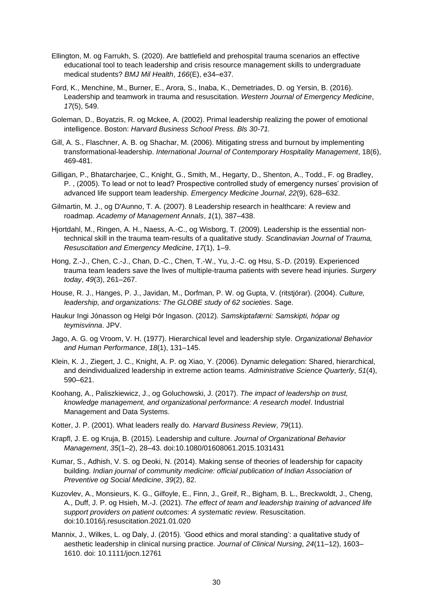- Ellington, M. og Farrukh, S. (2020). Are battlefield and prehospital trauma scenarios an effective educational tool to teach leadership and crisis resource management skills to undergraduate medical students? *BMJ Mil Health*, *166*(E), e34–e37.
- Ford, K., Menchine, M., Burner, E., Arora, S., Inaba, K., Demetriades, D. og Yersin, B. (2016). Leadership and teamwork in trauma and resuscitation. *Western Journal of Emergency Medicine*, *17*(5), 549.
- Goleman, D., Boyatzis, R. og Mckee, A. (2002). Primal leadership realizing the power of emotional intelligence. Boston: *Harvard Business School Press. Bls 30-71.*
- Gill, A. S., Flaschner, A. B. og Shachar, M. (2006). Mitigating stress and burnout by implementing transformational‐leadership. *International Journal of Contemporary Hospitality Management*, 18(6), 469-481.
- Gilligan, P., Bhatarcharjee, C., Knight, G., Smith, M., Hegarty, D., Shenton, A., Todd., F. og Bradley, P. , (2005). To lead or not to lead? Prospective controlled study of emergency nurses' provision of advanced life support team leadership. *Emergency Medicine Journal*, *22*(9), 628–632.
- Gilmartin, M. J., og D'Aunno, T. A. (2007). 8 Leadership research in healthcare: A review and roadmap. *Academy of Management Annals*, *1*(1), 387–438.
- Hjortdahl, M., Ringen, A. H., Naess, A.-C., og Wisborg, T. (2009). Leadership is the essential nontechnical skill in the trauma team-results of a qualitative study. *Scandinavian Journal of Trauma, Resuscitation and Emergency Medicine*, *17*(1), 1–9.
- Hong, Z.-J., Chen, C.-J., Chan, D.-C., Chen, T.-W., Yu, J.-C. og Hsu, S.-D. (2019). Experienced trauma team leaders save the lives of multiple-trauma patients with severe head injuries. *Surgery today*, *49*(3), 261–267.
- House, R. J., Hanges, P. J., Javidan, M., Dorfman, P. W. og Gupta, V. (ritstjórar). (2004). *Culture, leadership, and organizations: The GLOBE study of 62 societies*. Sage.
- Haukur Ingi Jónasson og Helgi Þór Ingason. (2012). *Samskiptafærni: Samskipti, hópar og teymisvinna*. JPV.
- Jago, A. G. og Vroom, V. H. (1977). Hierarchical level and leadership style. *Organizational Behavior and Human Performance*, *18*(1), 131–145.
- Klein, K. J., Ziegert, J. C., Knight, A. P. og Xiao, Y. (2006). Dynamic delegation: Shared, hierarchical, and deindividualized leadership in extreme action teams. *Administrative Science Quarterly*, *51*(4), 590–621.
- Koohang, A., Paliszkiewicz, J., og Goluchowski, J. (2017). *The impact of leadership on trust, knowledge management, and organizational performance: A research model*. Industrial Management and Data Systems.
- Kotter, J. P. (2001). What leaders really do*. Harvard Business Review*, *79*(11).
- Krapfl, J. E. og Kruja, B. (2015). Leadership and culture. *Journal of Organizational Behavior Management*, *35*(1–2), 28–43. doi:10.1080/01608061.2015.1031431
- Kumar, S., Adhish, V. S. og Deoki, N. (2014). Making sense of theories of leadership for capacity building. *Indian journal of community medicine: official publication of Indian Association of Preventive og Social Medicine*, *39*(2), 82.
- Kuzovlev, A., Monsieurs, K. G., Gilfoyle, E., Finn, J., Greif, R., Bigham, B. L., Breckwoldt, J., Cheng, A., Duff, J. P. og Hsieh, M.-J. (2021). *The effect of team and leadership training of advanced life support providers on patient outcomes: A systematic review*. Resuscitation. doi:10.1016/j.resuscitation.2021.01.020
- Mannix, J., Wilkes, L. og Daly, J. (2015). 'Good ethics and moral standing': a qualitative study of aesthetic leadership in clinical nursing practice. *Journal of Clinical Nursing*, *24*(11–12), 1603– 1610. doi: 10.1111/jocn.12761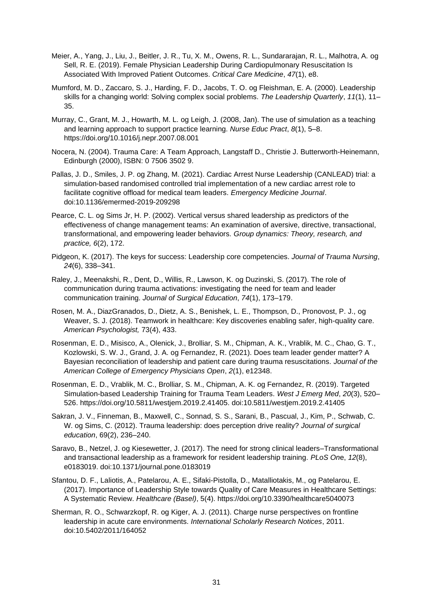- Meier, A., Yang, J., Liu, J., Beitler, J. R., Tu, X. M., Owens, R. L., Sundararajan, R. L., Malhotra, A. og Sell, R. E. (2019). Female Physician Leadership During Cardiopulmonary Resuscitation Is Associated With Improved Patient Outcomes. *Critical Care Medicine*, *47*(1), e8.
- Mumford, M. D., Zaccaro, S. J., Harding, F. D., Jacobs, T. O. og Fleishman, E. A. (2000). Leadership skills for a changing world: Solving complex social problems. *The Leadership Quarterly*, *11*(1), 11– 35.
- Murray, C., Grant, M. J., Howarth, M. L. og Leigh, J. (2008, Jan). The use of simulation as a teaching and learning approach to support practice learning. *Nurse Educ Pract*, *8*(1), 5–8. https://doi.org/10.1016/j.nepr.2007.08.001
- Nocera, N. (2004). Trauma Care: A Team Approach, Langstaff D., Christie J. Butterworth-Heinemann, Edinburgh (2000), ISBN: 0 7506 3502 9.
- Pallas, J. D., Smiles, J. P. og Zhang, M. (2021). Cardiac Arrest Nurse Leadership (CANLEAD) trial: a simulation-based randomised controlled trial implementation of a new cardiac arrest role to facilitate cognitive offload for medical team leaders. *Emergency Medicine Journal*. doi:10.1136/emermed-2019-209298
- Pearce, C. L. og Sims Jr, H. P. (2002). Vertical versus shared leadership as predictors of the effectiveness of change management teams: An examination of aversive, directive, transactional, transformational, and empowering leader behaviors*. Group dynamics: Theory, research, and practice, 6*(2), 172.
- Pidgeon, K. (2017). The keys for success: Leadership core competencies. *Journal of Trauma Nursing*, *24*(6), 338–341.
- Raley, J., Meenakshi, R., Dent, D., Willis, R., Lawson, K. og Duzinski, S. (2017). The role of communication during trauma activations: investigating the need for team and leader communication training. *Journal of Surgical Education*, *74*(1), 173–179.
- Rosen, M. A., DiazGranados, D., Dietz, A. S., Benishek, L. E., Thompson, D., Pronovost, P. J., og Weaver, S. J. (2018). Teamwork in healthcare: Key discoveries enabling safer, high-quality care. *American Psychologist,* 73(4), 433.
- Rosenman, E. D., Misisco, A., Olenick, J., Brolliar, S. M., Chipman, A. K., Vrablik, M. C., Chao, G. T., Kozlowski, S. W. J., Grand, J. A. og Fernandez, R. (2021). Does team leader gender matter? A Bayesian reconciliation of leadership and patient care during trauma resuscitations. *Journal of the American College of Emergency Physicians Open*, *2*(1), e12348.
- Rosenman, E. D., Vrablik, M. C., Brolliar, S. M., Chipman, A. K. og Fernandez, R. (2019). Targeted Simulation-based Leadership Training for Trauma Team Leaders. *West J Emerg Med*, *20*(3), 520– 526. [https://doi.org/10.5811/westjem.2019.2.41405.](https://doi.org/10.5811/westjem.2019.2.41405) doi:10.5811/westjem.2019.2.41405
- Sakran, J. V., Finneman, B., Maxwell, C., Sonnad, S. S., Sarani, B., Pascual, J., Kim, P., Schwab, C. W. og Sims, C. (2012). Trauma leadership: does perception drive reality? *Journal of surgical education*, 69(2), 236–240.
- Saravo, B., Netzel, J. og Kiesewetter, J. (2017). The need for strong clinical leaders–Transformational and transactional leadership as a framework for resident leadership training. *PLoS On*e, *12*(8), e0183019. doi:10.1371/journal.pone.0183019
- Sfantou, D. F., Laliotis, A., Patelarou, A. E., Sifaki-Pistolla, D., Matalliotakis, M., og Patelarou, E. (2017). Importance of Leadership Style towards Quality of Care Measures in Healthcare Settings: A Systematic Review. *Healthcare (Basel)*, 5(4). https://doi.org/10.3390/healthcare5040073
- Sherman, R. O., Schwarzkopf, R. og Kiger, A. J. (2011). Charge nurse perspectives on frontline leadership in acute care environments. *International Scholarly Research Notices*, 2011. doi:10.5402/2011/164052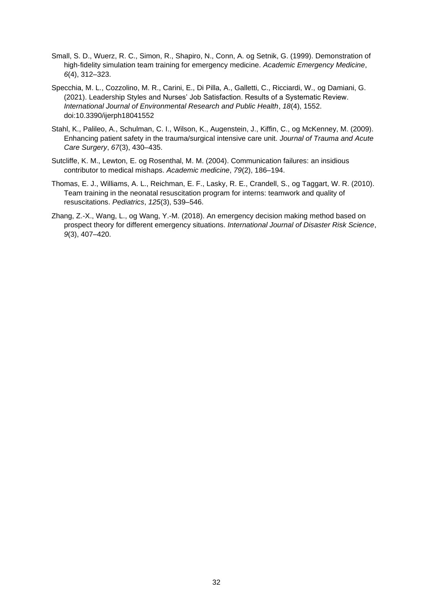- Small, S. D., Wuerz, R. C., Simon, R., Shapiro, N., Conn, A. og Setnik, G. (1999). Demonstration of high‐fidelity simulation team training for emergency medicine. *Academic Emergency Medicine*, *6*(4), 312–323.
- Specchia, M. L., Cozzolino, M. R., Carini, E., Di Pilla, A., Galletti, C., Ricciardi, W., og Damiani, G. (2021). Leadership Styles and Nurses' Job Satisfaction. Results of a Systematic Review. *International Journal of Environmental Research and Public Health*, *18*(4), 1552. [doi:10.3390/ijerph18041552](https://doi.org/10.3390/ijerph18041552)
- Stahl, K., Palileo, A., Schulman, C. I., Wilson, K., Augenstein, J., Kiffin, C., og McKenney, M. (2009). Enhancing patient safety in the trauma/surgical intensive care unit. *Journal of Trauma and Acute Care Surgery*, *67*(3), 430–435.
- Sutcliffe, K. M., Lewton, E. og Rosenthal, M. M. (2004). Communication failures: an insidious contributor to medical mishaps. *Academic medicine*, *79*(2), 186–194.
- Thomas, E. J., Williams, A. L., Reichman, E. F., Lasky, R. E., Crandell, S., og Taggart, W. R. (2010). Team training in the neonatal resuscitation program for interns: teamwork and quality of resuscitations. *Pediatrics*, *125*(3), 539–546.
- Zhang, Z.-X., Wang, L., og Wang, Y.-M. (2018). An emergency decision making method based on prospect theory for different emergency situations. *International Journal of Disaster Risk Science*, *9*(3), 407–420.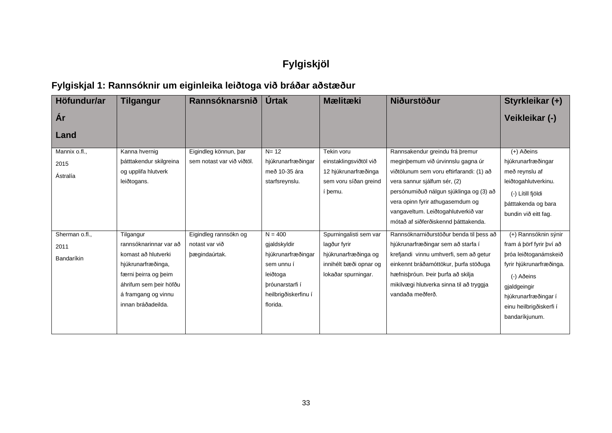## **Fylgiskjöl**

## **Fylgiskjal 1: Rannsóknir um eiginleika leiðtoga við bráðar aðstæður**

<span id="page-33-1"></span><span id="page-33-0"></span>

| Höfundur/ar    | <b>Tilgangur</b>        | Rannsóknarsnið             | <b>Úrtak</b>         | <b>Mælitæki</b>        | <b>Niðurstöður</b>                       | Styrkleikar (+)          |
|----------------|-------------------------|----------------------------|----------------------|------------------------|------------------------------------------|--------------------------|
| Ár             |                         |                            |                      |                        |                                          | Veikleikar (-)           |
| Land           |                         |                            |                      |                        |                                          |                          |
| Mannix o.fl.,  | Kanna hvernig           | Eigindleg könnun, bar      | $N = 12$             | Tekin voru             | Rannsakendur greindu frá þremur          | (+) Aðeins               |
| 2015           | bátttakendur skilgreina | sem notast var við viðtöl. | hjúkrunarfræðingar   | einstaklingsviðtöl við | meginbemum við úrvinnslu gagna úr        | hjúkrunarfræðingar       |
| Ástralía       | og upplifa hlutverk     |                            | með 10-35 ára        | 12 hjúkrunarfræðinga   | viðtölunum sem voru eftirfarandi: (1) að | með reynslu af           |
|                | leiðtogans.             |                            | starfsreynslu.       | sem voru síðan greind  | vera sannur sjálfum sér, (2)             | leiðtogahlutverkinu.     |
|                |                         |                            |                      | í þemu.                | persónumiðuð nálgun sjúklinga og (3) að  | (-) Lítill fjöldi        |
|                |                         |                            |                      |                        | vera opinn fyrir athugasemdum og         | bátttakenda og bara      |
|                |                         |                            |                      |                        | vangaveltum. Leiðtogahlutverkið var      | bundin við eitt fag.     |
|                |                         |                            |                      |                        | mótað af siðferðiskennd þátttakenda.     |                          |
| Sherman o.fl., | Tilgangur               | Eigindleg rannsókn og      | $N = 400$            | Spurningalisti sem var | Rannsóknarniðurstöður benda til þess að  | (+) Rannsóknin sýnir     |
| 2011           | rannsóknarinnar var að  | notast var við             | gjaldskyldir         | lagður fyrir           | hjúkrunarfræðingar sem að starfa í       | fram á þörf fyrir því að |
| Bandaríkin     | komast að hlutverki     | bægindaúrtak.              | hjúkrunarfræðingar   | hjúkrunarfræðinga og   | krefjandi vinnu umhverfi, sem að getur   | þróa leiðtoganámskeið    |
|                | hjúkrunarfræðinga,      |                            | sem unnu í           | innihélt bæði opnar og | einkennt bráðamóttökur, þurfa stöðuga    | fyrir hjúkrunarfræðinga. |
|                | færni þeirra og þeim    |                            | leiðtoga             | lokaðar spurningar.    | hæfnisþróun. Þeir þurfa að skilja        | (-) Aðeins               |
|                | áhrifum sem beir höfðu  |                            | bróunarstarfi í      |                        | mikilvægi hlutverka sinna til að tryggja | gjaldgeingir             |
|                | á framgang og vinnu     |                            | heilbrigðiskerfinu í |                        | vandaða meðferð.                         | hjúkrunarfræðingar í     |
|                | innan bráðadeilda.      |                            | florida.             |                        |                                          | einu heilbrigðiskerfi í  |
|                |                         |                            |                      |                        |                                          | bandaríkjunum.           |
|                |                         |                            |                      |                        |                                          |                          |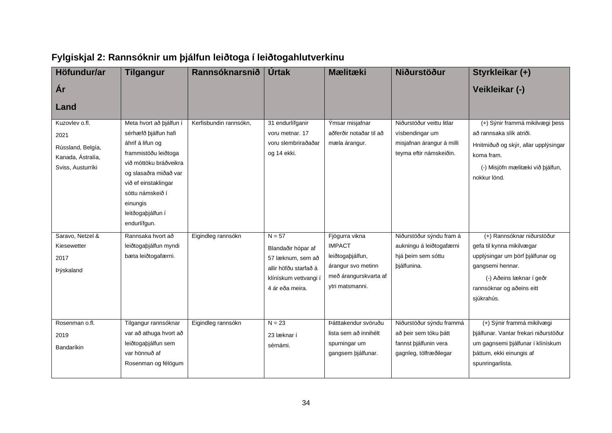<span id="page-34-0"></span>

| Höfundur/ar                                                                           | <b>Tilgangur</b>                                                                                                                                                                                                                            | Rannsóknarsnið         | <b>Úrtak</b>                                                                                                             | <b>Mælitæki</b>                                                                                                       | <b>Niðurstöður</b>                                                                                   | Styrkleikar (+)                                                                                                                                                                        |
|---------------------------------------------------------------------------------------|---------------------------------------------------------------------------------------------------------------------------------------------------------------------------------------------------------------------------------------------|------------------------|--------------------------------------------------------------------------------------------------------------------------|-----------------------------------------------------------------------------------------------------------------------|------------------------------------------------------------------------------------------------------|----------------------------------------------------------------------------------------------------------------------------------------------------------------------------------------|
| Ar                                                                                    |                                                                                                                                                                                                                                             |                        |                                                                                                                          |                                                                                                                       |                                                                                                      | Veikleikar (-)                                                                                                                                                                         |
| Land                                                                                  |                                                                                                                                                                                                                                             |                        |                                                                                                                          |                                                                                                                       |                                                                                                      |                                                                                                                                                                                        |
| Kuzovlev o.fl.<br>2021<br>Rússland, Belgía,<br>Kanada, Ástralía,<br>Sviss, Austurríki | Meta hvort að þjálfun i<br>sérhæfð þjálfun hafi<br>áhrif á lifun og<br>frammistöðu leiðtoga<br>við móttöku bráðveikra<br>og slasaðra miðað var<br>við ef einstaklingar<br>sóttu námskeið í<br>einungis<br>leitðogaþjálfun í<br>endurlífgun. | Kerfisbundin rannsókn, | 31 endurlífganir<br>voru metnar. 17<br>voru slembriraðaðar<br>og 14 ekki.                                                | Ýmsar misjafnar<br>aðferðir notaðar til að<br>mæla árangur.                                                           | Niðurstöður veittu litlar<br>vísbendingar um<br>misjafnan árangur á milli<br>teyma eftir námskeiðin. | (+) Sýnir frammá mikilvægi þess<br>að rannsaka slík atriði.<br>Hnitmiðuð og skýr, allar upplýsingar<br>koma fram.<br>(-) Misjöfn mælitæki við þjálfun,<br>nokkur lönd.                 |
| Saravo, Netzel &<br>Kiesewetter<br>2017<br>Þýskaland                                  | Rannsaka hvort að<br>leiðtogaþjálfun myndi<br>bæta leiðtogafærni.                                                                                                                                                                           | Eigindleg rannsókn     | $N = 57$<br>Blandaðir hópar af<br>57 læknum, sem að<br>allir höfðu starfað á<br>klínískum vettvangi í<br>4 ár eða meira. | Fjögurra vikna<br><b>IMPACT</b><br>leiðtogaþjálfun,<br>árangur svo metinn<br>með árangurskvarta af<br>ytri matsmanni. | Niðurstöður sýndu fram á<br>aukningu á leiðtogafærni<br>hjá þeim sem sóttu<br>bjálfunina.            | (+) Rannsóknar niðurstöður<br>gefa til kynna mikilvægar<br>upplýsingar um þörf þjálfunar og<br>gangsemi hennar.<br>(-) Aðeins læknar í geðr<br>rannsóknar og aðeins eitt<br>sjúkrahús. |
| Rosenman o.fl.<br>2019<br>Bandaríkin                                                  | Tilgangur rannsóknar<br>var að athuga hvort að<br>leiðtogaþjálfun sem<br>var hönnuð af<br>Rosenman og félögum                                                                                                                               | Eigindleg rannsókn     | $N = 23$<br>23 læknar í<br>sérnámi.                                                                                      | Þátttakendur svöruðu<br>lista sem að innihélt<br>spurningar um<br>gangsem þjálfunar.                                  | Niðurstöður sýndu frammá<br>að þeir sem tóku þátt<br>fannst þjálfunin vera<br>gagnleg, tölfræðilegar | (+) Sýnir frammá mikilvægi<br>þjálfunar. Vantar frekari niðurstöður<br>um gagnsemi þjálfunar í klínískum<br>þáttum, ekki einungis af<br>spunringarlista.                               |

## **Fylgiskjal 2: Rannsóknir um þjálfun leiðtoga í leiðtogahlutverkinu**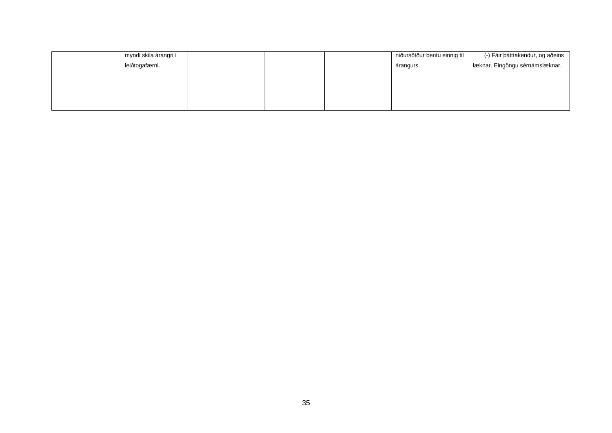| myndi skila árangri í |  | niðursötður bentu einnig til | (-) Fáir þátttakendur, og aðeins |
|-----------------------|--|------------------------------|----------------------------------|
| leiðtogafærni.        |  | árangurs.                    | læknar. Eingöngu sérnámslæknar.  |
|                       |  |                              |                                  |
|                       |  |                              |                                  |
|                       |  |                              |                                  |
|                       |  |                              |                                  |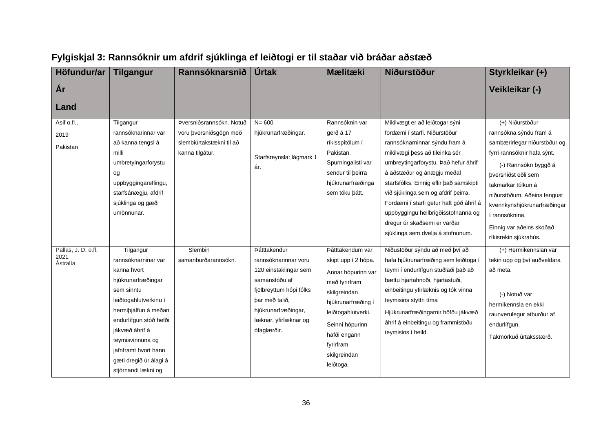<span id="page-36-0"></span>

| Höfundur/ar                             | <b>Tilgangur</b>                                                                                                                                                                                                                                                              | Rannsóknarsnið                                                                                    | <b>Úrtak</b>                                                                                                                                                                               | <b>Mælitæki</b>                                                                                                                                                                                                         | <b>Niðurstöður</b>                                                                                                                                                                                                                                                                                                                                                                                                                                | Styrkleikar (+)                                                                                                                                                                                                                                                                                                    |
|-----------------------------------------|-------------------------------------------------------------------------------------------------------------------------------------------------------------------------------------------------------------------------------------------------------------------------------|---------------------------------------------------------------------------------------------------|--------------------------------------------------------------------------------------------------------------------------------------------------------------------------------------------|-------------------------------------------------------------------------------------------------------------------------------------------------------------------------------------------------------------------------|---------------------------------------------------------------------------------------------------------------------------------------------------------------------------------------------------------------------------------------------------------------------------------------------------------------------------------------------------------------------------------------------------------------------------------------------------|--------------------------------------------------------------------------------------------------------------------------------------------------------------------------------------------------------------------------------------------------------------------------------------------------------------------|
| År                                      |                                                                                                                                                                                                                                                                               |                                                                                                   |                                                                                                                                                                                            |                                                                                                                                                                                                                         |                                                                                                                                                                                                                                                                                                                                                                                                                                                   | Veikleikar (-)                                                                                                                                                                                                                                                                                                     |
| Land                                    |                                                                                                                                                                                                                                                                               |                                                                                                   |                                                                                                                                                                                            |                                                                                                                                                                                                                         |                                                                                                                                                                                                                                                                                                                                                                                                                                                   |                                                                                                                                                                                                                                                                                                                    |
| Asif o.fl.,<br>2019<br>Pakistan         | Tilgangur<br>rannsóknarinnar var<br>að kanna tengsl á<br>milli<br>umbretyingarforystu<br>og<br>uppbyggingareflingu,<br>starfsánægju, afdrif<br>sjúklinga og gæði<br>umönnunar.                                                                                                | Þversniðsrannsókn. Notuð<br>voru þversniðsgögn með<br>slembiúrtakstækni til að<br>kanna tilgátur. | $N = 600$<br>hjúkrunarfræðingar.<br>Starfsreynsla: lágmark 1<br>ár.                                                                                                                        | Rannsóknin var<br>gerð á 17<br>ríkisspítölum í<br>Pakistan.<br>Spurningalisti var<br>sendur til beirra<br>hjúkrunarfræðinga<br>sem tóku þátt.                                                                           | Mikilvægt er að leiðtogar sýni<br>fordæmi í starfi. Niðurstöður<br>rannsóknarninnar sýndu fram á<br>mikilvægi þess að tileinka sér<br>umbreytingarforystu. Það hefur áhrif<br>á aðstæður og ánægju meðal<br>starfsfólks. Einnig eflir það samskipti<br>við sjúklinga sem og afdrif þeirra.<br>Fordæmi í starfi getur haft góð áhrif á<br>uppbyggingu heilbrigðisstofnanna og<br>dregur úr skaðsemi er varðar<br>sjúklinga sem dvelja á stofnunum. | (+) Niðurstöður<br>rannsókna sýndu fram á<br>sambærirlegar niðurstöður og<br>fyrri rannsóknir hafa sýnt.<br>(-) Rannsókn byggð á<br>þversniðst eðli sem<br>takmarkar túlkun á<br>niðurstöðum. Aðeins fengust<br>kvennkynshjúkrunarfræðingar<br>í rannsóknina.<br>Einnig var aðeins skoðað<br>ríkisrekin sjúkrahús. |
| Pallas, J. D. o.fl,<br>2021<br>Ástralía | Tilgangur<br>rannsóknarninar var<br>kanna hvort<br>hjúkrunarfræðingar<br>sem sinntu<br>leiðtogahlutverkinu í<br>hermiþjálfun á meðan<br>endurlífgun stóð hefði<br>jákvæð áhrif á<br>teymisvinnuna og<br>jafnframt hvort hann<br>gæti dregið úr álagi á<br>stjórnandi lækni og | Slembin<br>samanburðarannsókn.                                                                    | Þátttakendur<br>rannsóknarinnar voru<br>120 einstaklingar sem<br>samanstóðu af<br>fjölbreyttum hópi fólks<br>bar með talið,<br>hjúkrunarfræðingar,<br>læknar, yfirlæknar og<br>ófaglærðir. | Þátttakendum var<br>skipt upp í 2 hópa.<br>Annar hópurinn var<br>með fyrirfram<br>skilgreindan<br>hjúkrunarfræðing í<br>leiðtogahlutverki.<br>Seinni hópurinn<br>hafði engann<br>fyrirfram<br>skilgreindan<br>leiðtoga. | Niðustöður sýndu að með því að<br>hafa hjúkrunarfræðing sem leiðtoga í<br>teymi í endurlífgun stuðlaði það að<br>bættu hjartahnoði, hjartastuði,<br>einbeitingu yfirlæknis og tók vinna<br>teymisins styttri tíma<br>Hjúkrunarfræðingarnir höfðu jákvæð<br>áhrif á einbeitingu og frammistöðu<br>teymisins í heild.                                                                                                                               | (+) Hermikennslan var<br>tekin upp og því auðveldara<br>að meta.<br>(-) Notuð var<br>hermikennsla en ekki<br>raunverulegur atburður af<br>endurlífgun.<br>Takmörkuð úrtaksstærð.                                                                                                                                   |

## **Fylgiskjal 3: Rannsóknir um afdrif sjúklinga ef leiðtogi er til staðar við bráðar aðstæð**